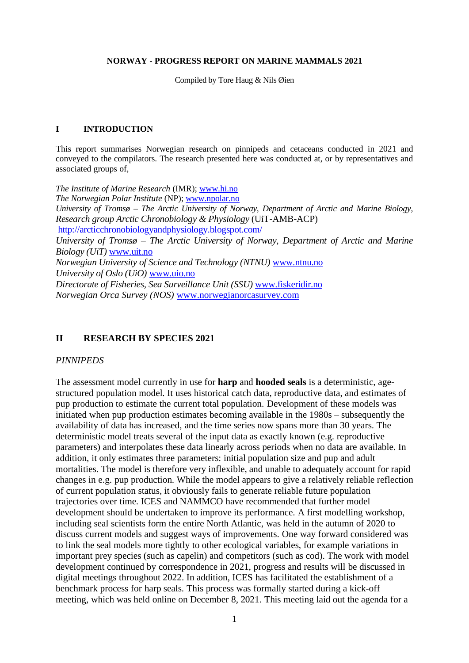#### **NORWAY - PROGRESS REPORT ON MARINE MAMMALS 2021**

Compiled by Tore Haug & Nils Øien

#### **I INTRODUCTION**

This report summarises Norwegian research on pinnipeds and cetaceans conducted in 2021 and conveyed to the compilators. The research presented here was conducted at, or by representatives and associated groups of,

*The Institute of Marine Research* (IMR); [www.hi.no](http://www.hi.no/) *The Norwegian Polar Institute* (NP); [www.npolar.no](http://www.npolar.no/) *University of Tromsø – The Arctic University of Norway, Department of Arctic and Marine Biology*, *Research group Arctic Chronobiology & Physiology* (UiT-AMB-ACP) <http://arcticchronobiologyandphysiology.blogspot.com/> *University of Tromsø – The Arctic University of Norway, Department of Arctic and Marine Biology (UiT)* [www.uit.no](http://www.uit.no/) *Norwegian University of Science and Technology (NTNU)* [www.ntnu.no](http://www.ntnu.no/) *University of Oslo (UiO)* [www.uio.no](http://www.uio.no/) *Directorate of Fisheries, Sea Surveillance Unit (SSU)* [www.fiskeridir.no](http://www.fiskeridir.no/) *Norwegian Orca Survey (NOS)* [www.norwegianorcasurvey.com](http://www.norwegianorcasurvey.com/)

#### **II RESEARCH BY SPECIES 2021**

#### *PINNIPEDS*

The assessment model currently in use for **harp** and **hooded seals** is a deterministic, agestructured population model. It uses historical catch data, reproductive data, and estimates of pup production to estimate the current total population. Development of these models was initiated when pup production estimates becoming available in the 1980s – subsequently the availability of data has increased, and the time series now spans more than 30 years. The deterministic model treats several of the input data as exactly known (e.g. reproductive parameters) and interpolates these data linearly across periods when no data are available. In addition, it only estimates three parameters: initial population size and pup and adult mortalities. The model is therefore very inflexible, and unable to adequately account for rapid changes in e.g. pup production. While the model appears to give a relatively reliable reflection of current population status, it obviously fails to generate reliable future population trajectories over time. ICES and NAMMCO have recommended that further model development should be undertaken to improve its performance. A first modelling workshop, including seal scientists form the entire North Atlantic, was held in the autumn of 2020 to discuss current models and suggest ways of improvements. One way forward considered was to link the seal models more tightly to other ecological variables, for example variations in important prey species (such as capelin) and competitors (such as cod). The work with model development continued by correspondence in 2021, progress and results will be discussed in digital meetings throughout 2022. In addition, ICES has facilitated the establishment of a benchmark process for harp seals. This process was formally started during a kick-off meeting, which was held online on December 8, 2021. This meeting laid out the agenda for a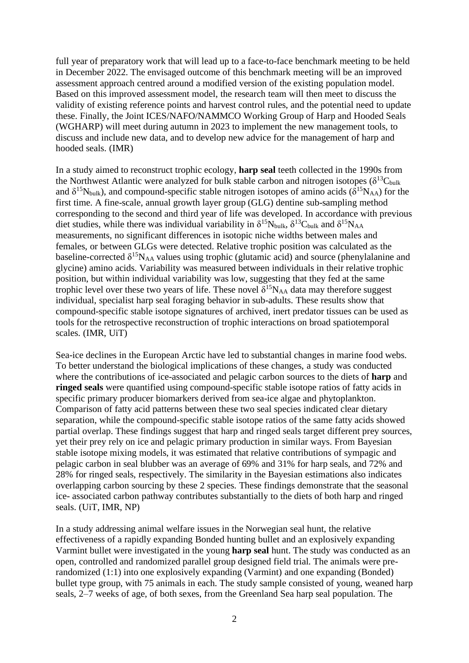full year of preparatory work that will lead up to a face-to-face benchmark meeting to be held in December 2022. The envisaged outcome of this benchmark meeting will be an improved assessment approach centred around a modified version of the existing population model. Based on this improved assessment model, the research team will then meet to discuss the validity of existing reference points and harvest control rules, and the potential need to update these. Finally, the Joint ICES/NAFO/NAMMCO Working Group of Harp and Hooded Seals (WGHARP) will meet during autumn in 2023 to implement the new management tools, to discuss and include new data, and to develop new advice for the management of harp and hooded seals. (IMR)

In a study aimed to reconstruct trophic ecology, **harp seal** teeth collected in the 1990s from the Northwest Atlantic were analyzed for bulk stable carbon and nitrogen isotopes ( $\delta^{13}C_{bulk}$ and  $\delta^{15}N_{bulk}$ ), and compound-specific stable nitrogen isotopes of amino acids ( $\delta^{15}N_{AA}$ ) for the first time. A fine-scale, annual growth layer group (GLG) dentine sub-sampling method corresponding to the second and third year of life was developed. In accordance with previous diet studies, while there was individual variability in  $\delta^{15}N_{bulk}$ ,  $\delta^{13}C_{bulk}$  and  $\delta^{15}N_{AA}$ measurements, no significant differences in isotopic niche widths between males and females, or between GLGs were detected. Relative trophic position was calculated as the baseline-corrected  $\delta^{15}N_{AA}$  values using trophic (glutamic acid) and source (phenylalanine and glycine) amino acids. Variability was measured between individuals in their relative trophic position, but within individual variability was low, suggesting that they fed at the same trophic level over these two years of life. These novel  $\delta^{15}N_{AA}$  data may therefore suggest individual, specialist harp seal foraging behavior in sub-adults. These results show that compound-specific stable isotope signatures of archived, inert predator tissues can be used as tools for the retrospective reconstruction of trophic interactions on broad spatiotemporal scales. (IMR, UiT)

Sea-ice declines in the European Arctic have led to substantial changes in marine food webs. To better understand the biological implications of these changes, a study was conducted where the contributions of ice-associated and pelagic carbon sources to the diets of **harp** and **ringed seals** were quantified using compound-specific stable isotope ratios of fatty acids in specific primary producer biomarkers derived from sea-ice algae and phytoplankton. Comparison of fatty acid patterns between these two seal species indicated clear dietary separation, while the compound-specific stable isotope ratios of the same fatty acids showed partial overlap. These findings suggest that harp and ringed seals target different prey sources, yet their prey rely on ice and pelagic primary production in similar ways. From Bayesian stable isotope mixing models, it was estimated that relative contributions of sympagic and pelagic carbon in seal blubber was an average of 69% and 31% for harp seals, and 72% and 28% for ringed seals, respectively. The similarity in the Bayesian estimations also indicates overlapping carbon sourcing by these 2 species. These findings demonstrate that the seasonal ice- associated carbon pathway contributes substantially to the diets of both harp and ringed seals. (UiT, IMR, NP)

In a study addressing animal welfare issues in the Norwegian seal hunt, the relative effectiveness of a rapidly expanding Bonded hunting bullet and an explosively expanding Varmint bullet were investigated in the young **harp seal** hunt. The study was conducted as an open, controlled and randomized parallel group designed field trial. The animals were prerandomized (1:1) into one explosively expanding (Varmint) and one expanding (Bonded) bullet type group, with 75 animals in each. The study sample consisted of young, weaned harp seals, 2–7 weeks of age, of both sexes, from the Greenland Sea harp seal population. The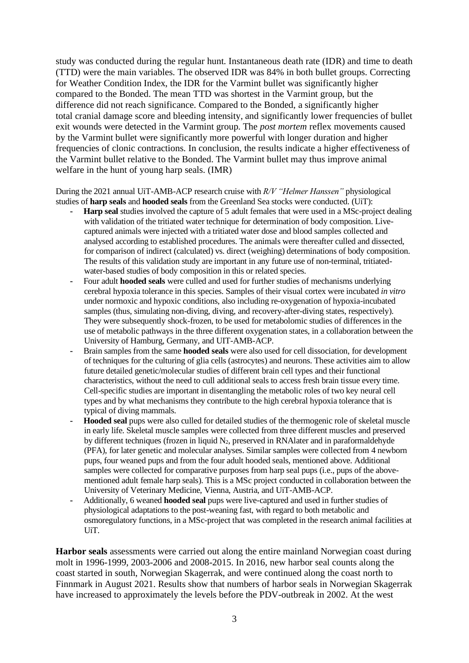study was conducted during the regular hunt. Instantaneous death rate (IDR) and time to death (TTD) were the main variables. The observed IDR was 84% in both bullet groups. Correcting for Weather Condition Index, the IDR for the Varmint bullet was significantly higher compared to the Bonded. The mean TTD was shortest in the Varmint group, but the difference did not reach significance. Compared to the Bonded, a significantly higher total cranial damage score and bleeding intensity, and significantly lower frequencies of bullet exit wounds were detected in the Varmint group. The *post mortem* reflex movements caused by the Varmint bullet were significantly more powerful with longer duration and higher frequencies of clonic contractions. In conclusion, the results indicate a higher effectiveness of the Varmint bullet relative to the Bonded. The Varmint bullet may thus improve animal welfare in the hunt of young harp seals. (IMR)

During the 2021 annual UiT-AMB-ACP research cruise with *R/V "Helmer Hanssen"* physiological studies of **harp seals** and **hooded seals** from the Greenland Sea stocks were conducted. (UiT):

- **- Harp seal** studies involved the capture of 5 adult females that were used in a MSc-project dealing with validation of the tritiated water technique for determination of body composition. Livecaptured animals were injected with a tritiated water dose and blood samples collected and analysed according to established procedures. The animals were thereafter culled and dissected, for comparison of indirect (calculated) vs. direct (weighing) determinations of body composition. The results of this validation study are important in any future use of non-terminal, tritiatedwater-based studies of body composition in this or related species.
- **-** Four adult **hooded seals** were culled and used for further studies of mechanisms underlying cerebral hypoxia tolerance in this species. Samples of their visual cortex were incubated *in vitro* under normoxic and hypoxic conditions, also including re-oxygenation of hypoxia-incubated samples (thus, simulating non-diving, diving, and recovery-after-diving states, respectively). They were subsequently shock-frozen, to be used for metabolomic studies of differences in the use of metabolic pathways in the three different oxygenation states, in a collaboration between the University of Hamburg, Germany, and UIT-AMB-ACP.
- **-** Brain samples from the same **hooded seals** were also used for cell dissociation, for development of techniques for the culturing of glia cells (astrocytes) and neurons. These activities aim to allow future detailed genetic/molecular studies of different brain cell types and their functional characteristics, without the need to cull additional seals to access fresh brain tissue every time. Cell-specific studies are important in disentangling the metabolic roles of two key neural cell types and by what mechanisms they contribute to the high cerebral hypoxia tolerance that is typical of diving mammals.
- **- Hooded seal** pups were also culled for detailed studies of the thermogenic role of skeletal muscle in early life. Skeletal muscle samples were collected from three different muscles and preserved by different techniques (frozen in liquid  $N_2$ , preserved in RNA later and in paraformal dehyde (PFA), for later genetic and molecular analyses. Similar samples were collected from 4 newborn pups, four weaned pups and from the four adult hooded seals, mentioned above. Additional samples were collected for comparative purposes from harp seal pups (i.e., pups of the abovementioned adult female harp seals). This is a MSc project conducted in collaboration between the University of Veterinary Medicine, Vienna, Austria, and UiT-AMB-ACP.
- **-** Additionally, 6 weaned **hooded seal** pups were live-captured and used in further studies of physiological adaptations to the post-weaning fast, with regard to both metabolic and osmoregulatory functions, in a MSc-project that was completed in the research animal facilities at UiT.

**Harbor seals** assessments were carried out along the entire mainland Norwegian coast during molt in 1996-1999, 2003-2006 and 2008-2015. In 2016, new harbor seal counts along the coast started in south, Norwegian Skagerrak, and were continued along the coast north to Finnmark in August 2021. Results show that numbers of harbor seals in Norwegian Skagerrak have increased to approximately the levels before the PDV-outbreak in 2002. At the west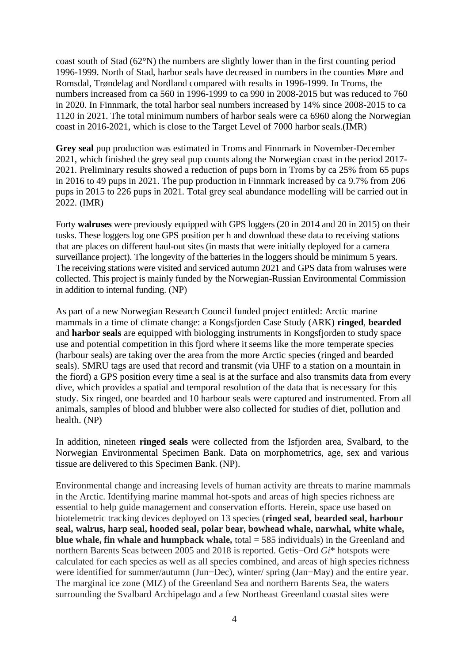coast south of Stad (62°N) the numbers are slightly lower than in the first counting period 1996-1999. North of Stad, harbor seals have decreased in numbers in the counties Møre and Romsdal, Trøndelag and Nordland compared with results in 1996-1999. In Troms, the numbers increased from ca 560 in 1996-1999 to ca 990 in 2008-2015 but was reduced to 760 in 2020. In Finnmark, the total harbor seal numbers increased by 14% since 2008-2015 to ca 1120 in 2021. The total minimum numbers of harbor seals were ca 6960 along the Norwegian coast in 2016-2021, which is close to the Target Level of 7000 harbor seals.(IMR)

**Grey seal** pup production was estimated in Troms and Finnmark in November-December 2021, which finished the grey seal pup counts along the Norwegian coast in the period 2017- 2021. Preliminary results showed a reduction of pups born in Troms by ca 25% from 65 pups in 2016 to 49 pups in 2021. The pup production in Finnmark increased by ca 9.7% from 206 pups in 2015 to 226 pups in 2021. Total grey seal abundance modelling will be carried out in 2022. (IMR)

Forty **walruses** were previously equipped with GPS loggers (20 in 2014 and 20 in 2015) on their tusks. These loggers log one GPS position per h and download these data to receiving stations that are places on different haul-out sites (in masts that were initially deployed for a camera surveillance project). The longevity of the batteries in the loggers should be minimum 5 years. The receiving stations were visited and serviced autumn 2021 and GPS data from walruses were collected. This project is mainly funded by the Norwegian-Russian Environmental Commission in addition to internal funding. (NP)

As part of a new Norwegian Research Council funded project entitled: Arctic marine mammals in a time of climate change: a Kongsfjorden Case Study (ARK) **ringed**, **bearded** and **harbor seals** are equipped with biologging instruments in Kongsfjorden to study space use and potential competition in this fjord where it seems like the more temperate species (harbour seals) are taking over the area from the more Arctic species (ringed and bearded seals). SMRU tags are used that record and transmit (via UHF to a station on a mountain in the fiord) a GPS position every time a seal is at the surface and also transmits data from every dive, which provides a spatial and temporal resolution of the data that is necessary for this study. Six ringed, one bearded and 10 harbour seals were captured and instrumented. From all animals, samples of blood and blubber were also collected for studies of diet, pollution and health. (NP)

In addition, nineteen **ringed seals** were collected from the Isfjorden area, Svalbard, to the Norwegian Environmental Specimen Bank. Data on morphometrics, age, sex and various tissue are delivered to this Specimen Bank. (NP).

Environmental change and increasing levels of human activity are threats to marine mammals in the Arctic. Identifying marine mammal hot-spots and areas of high species richness are essential to help guide management and conservation efforts. Herein, space use based on biotelemetric tracking devices deployed on 13 species (**ringed seal, bearded seal, harbour seal, walrus, harp seal, hooded seal, polar bear, bowhead whale, narwhal, white whale, blue whale, fin whale and humpback whale,** total = 585 individuals) in the Greenland and northern Barents Seas between 2005 and 2018 is reported. Getis−Ord *Gi*\* hotspots were calculated for each species as well as all species combined, and areas of high species richness were identified for summer/autumn (Jun−Dec), winter/ spring (Jan−May) and the entire year. The marginal ice zone (MIZ) of the Greenland Sea and northern Barents Sea, the waters surrounding the Svalbard Archipelago and a few Northeast Greenland coastal sites were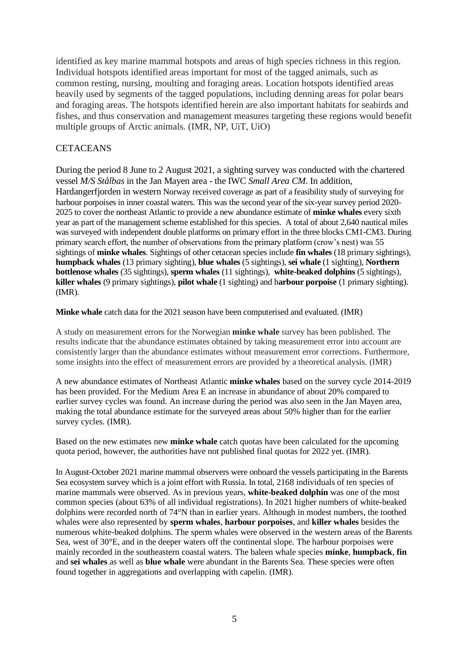identified as key marine mammal hotspots and areas of high species richness in this region. Individual hotspots identified areas important for most of the tagged animals, such as common resting, nursing, moulting and foraging areas. Location hotspots identified areas heavily used by segments of the tagged populations, including denning areas for polar bears and foraging areas. The hotspots identified herein are also important habitats for seabirds and fishes, and thus conservation and management measures targeting these regions would benefit multiple groups of Arctic animals. (IMR, NP, UiT, UiO)

## **CETACEANS**

During the period 8 June to 2 August 2021, a sighting survey was conducted with the chartered vessel *M/S Stålbas* in the Jan Mayen area - the IWC *Small Area CM*. In addition, Hardangerfjorden in western Norway received coverage as part of a feasibility study of surveying for harbour porpoises in inner coastal waters. This was the second year of the six-year survey period 2020- 2025 to cover the northeast Atlantic to provide a new abundance estimate of **minke whales** every sixth year as part of the management scheme established for this species. A total of about 2,640 nautical miles was surveyed with independent double platforms on primary effort in the three blocks CM1-CM3. During primary search effort, the number of observations from the primary platform (crow's nest) was 55 sightings of **minke whales**. Sightings of other cetacean species include **fin whales** (18 primary sightings), **humpback whales** (13 primary sighting), **blue whales** (5 sightings), **sei whale** (1 sighting), **Northern bottlenose whales** (35 sightings), **sperm whales** (11 sightings), **white-beaked dolphins** (5 sightings), **killer whales** (9 primary sightings), **pilot whale** (1 sighting) and h**arbour porpoise** (1 primary sighting). (IMR).

**Minke whale** catch data for the 2021 season have been computerised and evaluated. (IMR)

A study on measurement errors for the Norwegian **minke whale** survey has been published. The results indicate that the abundance estimates obtained by taking measurement error into account are consistently larger than the abundance estimates without measurement error corrections. Furthermore, some insights into the effect of measurement errors are provided by a theoretical analysis. (IMR)

A new abundance estimates of Northeast Atlantic **minke whales** based on the survey cycle 2014-2019 has been provided. For the Medium Area E an increase in abundance of about 20% compared to earlier survey cycles was found. An increase during the period was also seen in the Jan Mayen area, making the total abundance estimate for the surveyed areas about 50% higher than for the earlier survey cycles. (IMR).

Based on the new estimates new **minke whale** catch quotas have been calculated for the upcoming quota period, however, the authorities have not published final quotas for 2022 yet. (IMR).

In August-October 2021 marine mammal observers were onboard the vessels participating in the Barents Sea ecosystem survey which is a joint effort with Russia. In total, 2168 individuals of ten species of marine mammals were observed. As in previous years, **white-beaked dolphin** was one of the most common species (about 63% of all individual registrations). In 2021 higher numbers of white-beaked dolphins were recorded north of 74°N than in earlier years. Although in modest numbers, the toothed whales were also represented by **sperm whales***,* **harbour porpoises**, and **killer whales** besides the numerous white-beaked dolphins. The sperm whales were observed in the western areas of the Barents Sea, west of 30°E, and in the deeper waters off the continental slope. The harbour porpoises were mainly recorded in the southeastern coastal waters. The baleen whale species **minke**, **humpback**, **fin** and **sei whales** as well as **blue whale** were abundant in the Barents Sea. These species were often found together in aggregations and overlapping with capelin. (IMR).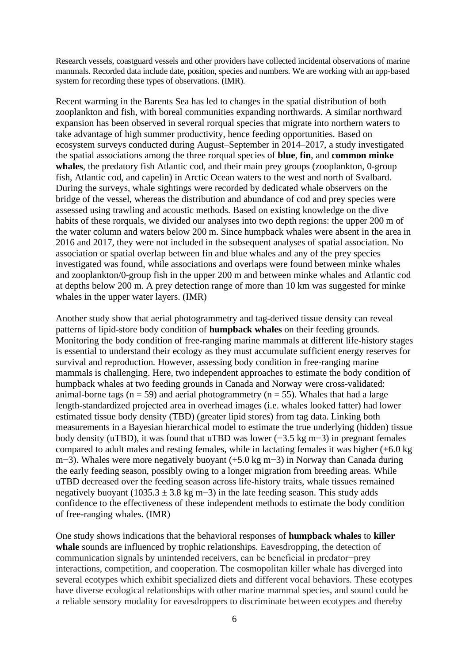Research vessels, coastguard vessels and other providers have collected incidental observations of marine mammals. Recorded data include date, position, species and numbers. We are working with an app-based system for recording these types of observations. (IMR).

Recent warming in the Barents Sea has led to changes in the spatial distribution of both zooplankton and fish, with boreal communities expanding northwards. A similar northward expansion has been observed in several rorqual species that migrate into northern waters to take advantage of high summer productivity, hence feeding opportunities. Based on ecosystem surveys conducted during August–September in 2014–2017, a study investigated the spatial associations among the three rorqual species of **blue**, **fin**, and **common minke**  whales, the predatory fish Atlantic cod, and their main prey groups (zooplankton, 0-group fish, Atlantic cod, and capelin) in Arctic Ocean waters to the west and north of Svalbard. During the surveys, whale sightings were recorded by dedicated whale observers on the bridge of the vessel, whereas the distribution and abundance of cod and prey species were assessed using trawling and acoustic methods. Based on existing knowledge on the dive habits of these rorquals, we divided our analyses into two depth regions: the upper 200 m of the water column and waters below 200 m. Since humpback whales were absent in the area in 2016 and 2017, they were not included in the subsequent analyses of spatial association. No association or spatial overlap between fin and blue whales and any of the prey species investigated was found, while associations and overlaps were found between minke whales and zooplankton/0-group fish in the upper 200 m and between minke whales and Atlantic cod at depths below 200 m. A prey detection range of more than 10 km was suggested for minke whales in the upper water layers. (IMR)

Another study show that aerial photogrammetry and tag-derived tissue density can reveal patterns of lipid-store body condition of **humpback whales** on their feeding grounds. Monitoring the body condition of free-ranging marine mammals at different life-history stages is essential to understand their ecology as they must accumulate sufficient energy reserves for survival and reproduction. However, assessing body condition in free-ranging marine mammals is challenging. Here, two independent approaches to estimate the body condition of humpback whales at two feeding grounds in Canada and Norway were cross-validated: animal-borne tags ( $n = 59$ ) and aerial photogrammetry ( $n = 55$ ). Whales that had a large length-standardized projected area in overhead images (i.e. whales looked fatter) had lower estimated tissue body density (TBD) (greater lipid stores) from tag data. Linking both measurements in a Bayesian hierarchical model to estimate the true underlying (hidden) tissue body density (uTBD), it was found that uTBD was lower (−3.5 kg m−3) in pregnant females compared to adult males and resting females, while in lactating females it was higher (+6.0 kg m−3). Whales were more negatively buoyant (+5.0 kg m−3) in Norway than Canada during the early feeding season, possibly owing to a longer migration from breeding areas. While uTBD decreased over the feeding season across life-history traits, whale tissues remained negatively buoyant (1035.3  $\pm$  3.8 kg m−3) in the late feeding season. This study adds confidence to the effectiveness of these independent methods to estimate the body condition of free-ranging whales. (IMR)

One study shows indications that the behavioral responses of **humpback whales** to **killer**  whale sounds are influenced by trophic relationships. Eavesdropping, the detection of communication signals by unintended receivers, can be beneficial in predator−prey interactions, competition, and cooperation. The cosmopolitan killer whale has diverged into several ecotypes which exhibit specialized diets and different vocal behaviors. These ecotypes have diverse ecological relationships with other marine mammal species, and sound could be a reliable sensory modality for eavesdroppers to discriminate between ecotypes and thereby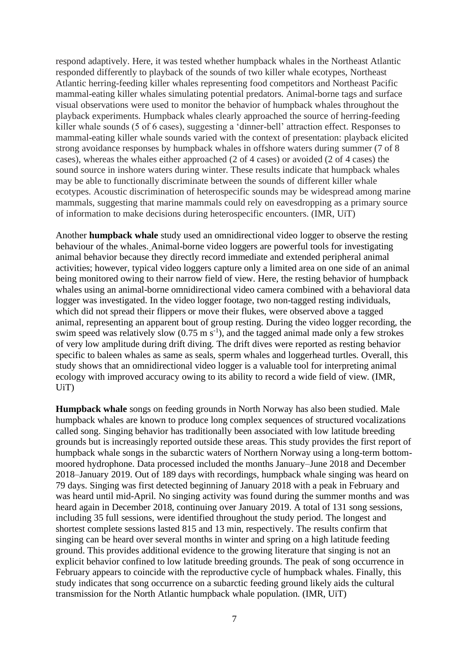respond adaptively. Here, it was tested whether humpback whales in the Northeast Atlantic responded differently to playback of the sounds of two killer whale ecotypes, Northeast Atlantic herring-feeding killer whales representing food competitors and Northeast Pacific mammal-eating killer whales simulating potential predators. Animal-borne tags and surface visual observations were used to monitor the behavior of humpback whales throughout the playback experiments. Humpback whales clearly approached the source of herring-feeding killer whale sounds (5 of 6 cases), suggesting a 'dinner-bell' attraction effect. Responses to mammal-eating killer whale sounds varied with the context of presentation: playback elicited strong avoidance responses by humpback whales in offshore waters during summer (7 of 8 cases), whereas the whales either approached (2 of 4 cases) or avoided (2 of 4 cases) the sound source in inshore waters during winter. These results indicate that humpback whales may be able to functionally discriminate between the sounds of different killer whale ecotypes. Acoustic discrimination of heterospecific sounds may be widespread among marine mammals, suggesting that marine mammals could rely on eavesdropping as a primary source of information to make decisions during heterospecific encounters. (IMR, UiT)

Another **humpback whale** study used an omnidirectional video logger to observe the resting behaviour of the whales. Animal-borne video loggers are powerful tools for investigating animal behavior because they directly record immediate and extended peripheral animal activities; however, typical video loggers capture only a limited area on one side of an animal being monitored owing to their narrow field of view. Here, the resting behavior of humpback whales using an animal-borne omnidirectional video camera combined with a behavioral data logger was investigated. In the video logger footage, two non-tagged resting individuals, which did not spread their flippers or move their flukes, were observed above a tagged animal, representing an apparent bout of group resting. During the video logger recording, the swim speed was relatively slow  $(0.75 \text{ m s}^{-1})$ , and the tagged animal made only a few strokes of very low amplitude during drift diving. The drift dives were reported as resting behavior specific to baleen whales as same as seals, sperm whales and loggerhead turtles. Overall, this study shows that an omnidirectional video logger is a valuable tool for interpreting animal ecology with improved accuracy owing to its ability to record a wide field of view. (IMR, UiT)

**Humpback whale** songs on feeding grounds in North Norway has also been studied. Male humpback whales are known to produce long complex sequences of structured vocalizations called song. Singing behavior has traditionally been associated with low latitude breeding grounds but is increasingly reported outside these areas. This study provides the first report of humpback whale songs in the subarctic waters of Northern Norway using a long-term bottommoored hydrophone. Data processed included the months January–June 2018 and December 2018–January 2019. Out of 189 days with recordings, humpback whale singing was heard on 79 days. Singing was first detected beginning of January 2018 with a peak in February and was heard until mid-April. No singing activity was found during the summer months and was heard again in December 2018, continuing over January 2019. A total of 131 song sessions, including 35 full sessions, were identified throughout the study period. The longest and shortest complete sessions lasted 815 and 13 min, respectively. The results confirm that singing can be heard over several months in winter and spring on a high latitude feeding ground. This provides additional evidence to the growing literature that singing is not an explicit behavior confined to low latitude breeding grounds. The peak of song occurrence in February appears to coincide with the reproductive cycle of humpback whales. Finally, this study indicates that song occurrence on a subarctic feeding ground likely aids the cultural transmission for the North Atlantic humpback whale population. (IMR, UiT)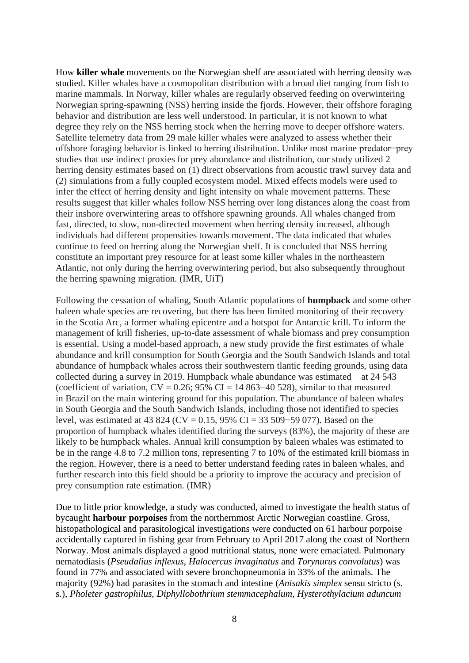How **killer whale** movements on the Norwegian shelf are associated with herring density was studied. Killer whales have a cosmopolitan distribution with a broad diet ranging from fish to marine mammals. In Norway, killer whales are regularly observed feeding on overwintering Norwegian spring-spawning (NSS) herring inside the fjords. However, their offshore foraging behavior and distribution are less well understood. In particular, it is not known to what degree they rely on the NSS herring stock when the herring move to deeper offshore waters. Satellite telemetry data from 29 male killer whales were analyzed to assess whether their offshore foraging behavior is linked to herring distribution. Unlike most marine predator−prey studies that use indirect proxies for prey abundance and distribution, our study utilized 2 herring density estimates based on (1) direct observations from acoustic trawl survey data and (2) simulations from a fully coupled ecosystem model. Mixed effects models were used to infer the effect of herring density and light intensity on whale movement patterns. These results suggest that killer whales follow NSS herring over long distances along the coast from their inshore overwintering areas to offshore spawning grounds. All whales changed from fast, directed, to slow, non-directed movement when herring density increased, although individuals had different propensities towards movement. The data indicated that whales continue to feed on herring along the Norwegian shelf. It is concluded that NSS herring constitute an important prey resource for at least some killer whales in the northeastern Atlantic, not only during the herring overwintering period, but also subsequently throughout the herring spawning migration. (IMR, UiT)

Following the cessation of whaling, South Atlantic populations of **humpback** and some other baleen whale species are recovering, but there has been limited monitoring of their recovery in the Scotia Arc, a former whaling epicentre and a hotspot for Antarctic krill. To inform the management of krill fisheries, up-to-date assessment of whale biomass and prey consumption is essential. Using a model-based approach, a new study provide the first estimates of whale abundance and krill consumption for South Georgia and the South Sandwich Islands and total abundance of humpback whales across their southwestern tlantic feeding grounds, using data collected during a survey in 2019. Humpback whale abundance was estimated at 24 543 (coefficient of variation,  $CV = 0.26$ ; 95% CI = 14 863–40 528), similar to that measured in Brazil on the main wintering ground for this population. The abundance of baleen whales in South Georgia and the South Sandwich Islands, including those not identified to species level, was estimated at 43 824 (CV = 0.15, 95% CI = 33 509−59 077). Based on the proportion of humpback whales identified during the surveys (83%), the majority of these are likely to be humpback whales. Annual krill consumption by baleen whales was estimated to be in the range 4.8 to 7.2 million tons, representing 7 to 10% of the estimated krill biomass in the region. However, there is a need to better understand feeding rates in baleen whales, and further research into this field should be a priority to improve the accuracy and precision of prey consumption rate estimation. (IMR)

Due to little prior knowledge, a study was conducted, aimed to investigate the health status of bycaught **harbour porpoises** from the northernmost Arctic Norwegian coastline. Gross, histopathological and parasitological investigations were conducted on 61 harbour porpoise accidentally captured in fishing gear from February to April 2017 along the coast of Northern Norway. Most animals displayed a good nutritional status, none were emaciated. Pulmonary nematodiasis (*Pseudalius inflexus*, *Halocercus invaginatus* and *Torynurus convolutus*) was found in 77% and associated with severe bronchopneumonia in 33% of the animals. The majority (92%) had parasites in the stomach and intestine (*Anisakis simplex* sensu stricto (s. s.), *Pholeter gastrophilus*, *Diphyllobothrium stemmacephalum*, *Hysterothylacium aduncum*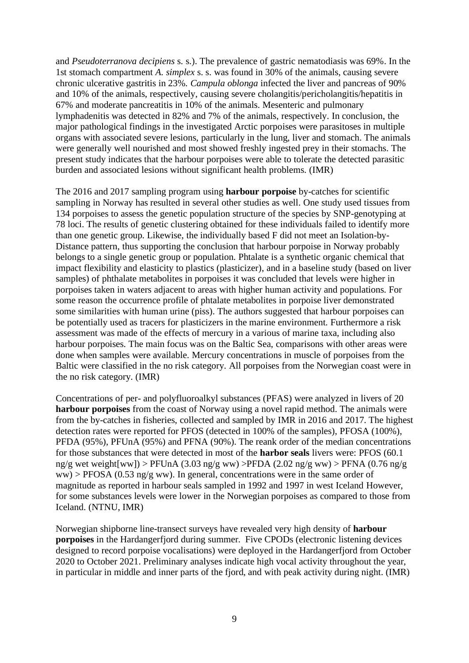and *Pseudoterranova decipiens* s. s.). The prevalence of gastric nematodiasis was 69%. In the 1st stomach compartment *A*. *simplex* s. s. was found in 30% of the animals, causing severe chronic ulcerative gastritis in 23%. *Campula oblonga* infected the liver and pancreas of 90% and 10% of the animals, respectively, causing severe cholangitis/pericholangitis/hepatitis in 67% and moderate pancreatitis in 10% of the animals. Mesenteric and pulmonary lymphadenitis was detected in 82% and 7% of the animals, respectively. In conclusion, the major pathological findings in the investigated Arctic porpoises were parasitoses in multiple organs with associated severe lesions, particularly in the lung, liver and stomach. The animals were generally well nourished and most showed freshly ingested prey in their stomachs. The present study indicates that the harbour porpoises were able to tolerate the detected parasitic burden and associated lesions without significant health problems. (IMR)

The 2016 and 2017 sampling program using **harbour porpoise** by-catches for scientific sampling in Norway has resulted in several other studies as well. One study used tissues from 134 porpoises to assess the genetic population structure of the species by SNP-genotyping at 78 loci. The results of genetic clustering obtained for these individuals failed to identify more than one genetic group. Likewise, the individually based F did not meet an Isolation-by-Distance pattern, thus supporting the conclusion that harbour porpoise in Norway probably belongs to a single genetic group or population. Phtalate is a synthetic organic chemical that impact flexibility and elasticity to plastics (plasticizer), and in a baseline study (based on liver samples) of phthalate metabolites in porpoises it was concluded that levels were higher in porpoises taken in waters adjacent to areas with higher human activity and populations. For some reason the occurrence profile of phtalate metabolites in porpoise liver demonstrated some similarities with human urine (piss). The authors suggested that harbour porpoises can be potentially used as tracers for plasticizers in the marine environment. Furthermore a risk assessment was made of the effects of mercury in a various of marine taxa, including also harbour porpoises. The main focus was on the Baltic Sea, comparisons with other areas were done when samples were available. Mercury concentrations in muscle of porpoises from the Baltic were classified in the no risk category. All porpoises from the Norwegian coast were in the no risk category. (IMR)

Concentrations of per- and polyfluoroalkyl substances (PFAS) were analyzed in livers of 20 **harbour porpoises** from the coast of Norway using a novel rapid method. The animals were from the by-catches in fisheries, collected and sampled by IMR in 2016 and 2017. The highest detection rates were reported for PFOS (detected in 100% of the samples), PFOSA (100%), PFDA (95%), PFUnA (95%) and PFNA (90%). The reank order of the median concentrations for those substances that were detected in most of the **harbor seals** livers were: PFOS (60.1 ng/g wet weight[ww]) > PFUnA (3.03 ng/g ww) > PFDA (2.02 ng/g ww) > PFNA (0.76 ng/g  $ww$ ) > PFOSA (0.53 ng/g ww). In general, concentrations were in the same order of magnitude as reported in harbour seals sampled in 1992 and 1997 in west Iceland However, for some substances levels were lower in the Norwegian porpoises as compared to those from Iceland. (NTNU, IMR)

Norwegian shipborne line-transect surveys have revealed very high density of **harbour porpoises** in the Hardangerfjord during summer. Five CPODs (electronic listening devices designed to record porpoise vocalisations) were deployed in the Hardangerfjord from October 2020 to October 2021. Preliminary analyses indicate high vocal activity throughout the year, in particular in middle and inner parts of the fjord, and with peak activity during night. (IMR)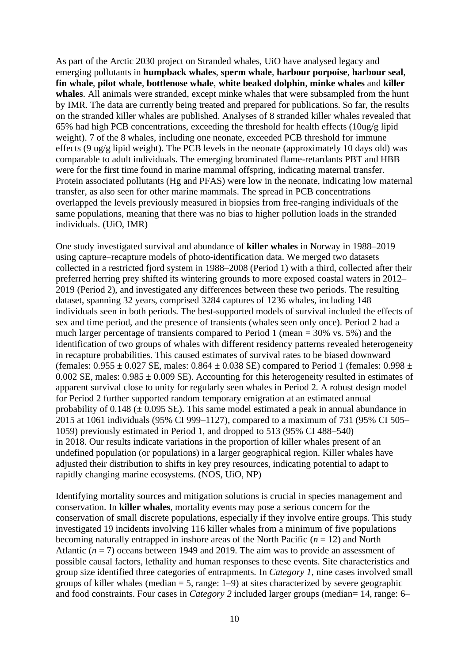As part of the Arctic 2030 project on Stranded whales, UiO have analysed legacy and emerging pollutants in **humpback whales**, **sperm whale**, **harbour porpoise**, **harbour seal**, **fin whale**, **pilot whale**, **bottlenose whale**, **white beaked dolphin**, **minke whales** and **killer whales**. All animals were stranded, except minke whales that were subsampled from the hunt by IMR. The data are currently being treated and prepared for publications. So far, the results on the stranded killer whales are published. Analyses of 8 stranded killer whales revealed that 65% had high PCB concentrations, exceeding the threshold for health effects (10ug/g lipid weight). 7 of the 8 whales, including one neonate, exceeded PCB threshold for immune effects (9 ug/g lipid weight). The PCB levels in the neonate (approximately 10 days old) was comparable to adult individuals. The emerging brominated flame-retardants PBT and HBB were for the first time found in marine mammal offspring, indicating maternal transfer. Protein associated pollutants (Hg and PFAS) were low in the neonate, indicating low maternal transfer, as also seen for other marine mammals. The spread in PCB concentrations overlapped the levels previously measured in biopsies from free-ranging individuals of the same populations, meaning that there was no bias to higher pollution loads in the stranded individuals. (UiO, IMR)

One study investigated survival and abundance of **killer whales** in Norway in 1988–2019 using capture–recapture models of photo-identification data. We merged two datasets collected in a restricted fjord system in 1988–2008 (Period 1) with a third, collected after their preferred herring prey shifted its wintering grounds to more exposed coastal waters in 2012– 2019 (Period 2), and investigated any differences between these two periods. The resulting dataset, spanning 32 years, comprised 3284 captures of 1236 whales, including 148 individuals seen in both periods. The best-supported models of survival included the effects of sex and time period, and the presence of transients (whales seen only once). Period 2 had a much larger percentage of transients compared to Period 1 (mean = 30% vs. 5%) and the identification of two groups of whales with different residency patterns revealed heterogeneity in recapture probabilities. This caused estimates of survival rates to be biased downward (females:  $0.955 \pm 0.027$  SE, males:  $0.864 \pm 0.038$  SE) compared to Period 1 (females:  $0.998 \pm 0.027$ 0.002 SE, males:  $0.985 \pm 0.009$  SE). Accounting for this heterogeneity resulted in estimates of apparent survival close to unity for regularly seen whales in Period 2. A robust design model for Period 2 further supported random temporary emigration at an estimated annual probability of  $0.148 \ (\pm 0.095 \ \text{SE})$ . This same model estimated a peak in annual abundance in 2015 at 1061 individuals (95% CI 999–1127), compared to a maximum of 731 (95% CI 505– 1059) previously estimated in Period 1, and dropped to 513 (95% CI 488–540) in 2018. Our results indicate variations in the proportion of killer whales present of an undefined population (or populations) in a larger geographical region. Killer whales have adjusted their distribution to shifts in key prey resources, indicating potential to adapt to rapidly changing marine ecosystems. (NOS, UiO, NP)

Identifying mortality sources and mitigation solutions is crucial in species management and conservation. In **killer whales**, mortality events may pose a serious concern for the conservation of small discrete populations, especially if they involve entire groups. This study investigated 19 incidents involving 116 killer whales from a minimum of five populations becoming naturally entrapped in inshore areas of the North Pacific (*n* = 12) and North Atlantic (*n* = 7) oceans between 1949 and 2019. The aim was to provide an assessment of possible causal factors, lethality and human responses to these events. Site characteristics and group size identified three categories of entrapments. In *Category 1*, nine cases involved small groups of killer whales (median  $=$  5, range: 1–9) at sites characterized by severe geographic and food constraints. Four cases in *Category 2* included larger groups (median= 14, range: 6–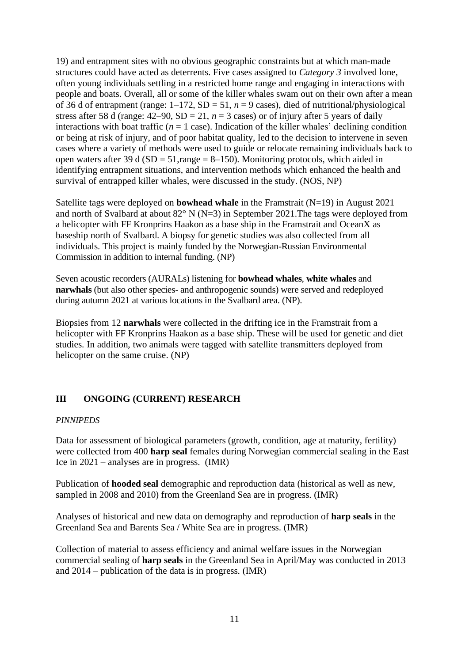19) and entrapment sites with no obvious geographic constraints but at which man-made structures could have acted as deterrents. Five cases assigned to *Category 3* involved lone, often young individuals settling in a restricted home range and engaging in interactions with people and boats. Overall, all or some of the killer whales swam out on their own after a mean of 36 d of entrapment (range:  $1-172$ ,  $SD = 51$ ,  $n = 9$  cases), died of nutritional/physiological stress after 58 d (range:  $42-90$ ,  $SD = 21$ ,  $n = 3$  cases) or of injury after 5 years of daily interactions with boat traffic ( $n = 1$  case). Indication of the killer whales' declining condition or being at risk of injury, and of poor habitat quality, led to the decision to intervene in seven cases where a variety of methods were used to guide or relocate remaining individuals back to open waters after 39 d ( $SD = 51$ , range = 8–150). Monitoring protocols, which aided in identifying entrapment situations, and intervention methods which enhanced the health and survival of entrapped killer whales, were discussed in the study. (NOS, NP)

Satellite tags were deployed on **bowhead whale** in the Framstrait (N=19) in August 2021 and north of Svalbard at about 82° N (N=3) in September 2021.The tags were deployed from a helicopter with FF Kronprins Haakon as a base ship in the Framstrait and OceanX as baseship north of Svalbard. A biopsy for genetic studies was also collected from all individuals. This project is mainly funded by the Norwegian-Russian Environmental Commission in addition to internal funding. (NP)

Seven acoustic recorders (AURALs) listening for **bowhead whales**, **white whales** and **narwhals** (but also other species- and anthropogenic sounds) were served and redeployed during autumn 2021 at various locations in the Svalbard area. (NP).

Biopsies from 12 **narwhals** were collected in the drifting ice in the Framstrait from a helicopter with FF Kronprins Haakon as a base ship. These will be used for genetic and diet studies. In addition, two animals were tagged with satellite transmitters deployed from helicopter on the same cruise. (NP)

# **III ONGOING (CURRENT) RESEARCH**

## *PINNIPEDS*

Data for assessment of biological parameters (growth, condition, age at maturity, fertility) were collected from 400 **harp seal** females during Norwegian commercial sealing in the East Ice in 2021 – analyses are in progress. (IMR)

Publication of **hooded seal** demographic and reproduction data (historical as well as new, sampled in 2008 and 2010) from the Greenland Sea are in progress. (IMR)

Analyses of historical and new data on demography and reproduction of **harp seals** in the Greenland Sea and Barents Sea / White Sea are in progress. (IMR)

Collection of material to assess efficiency and animal welfare issues in the Norwegian commercial sealing of **harp seals** in the Greenland Sea in April/May was conducted in 2013 and 2014 – publication of the data is in progress. (IMR)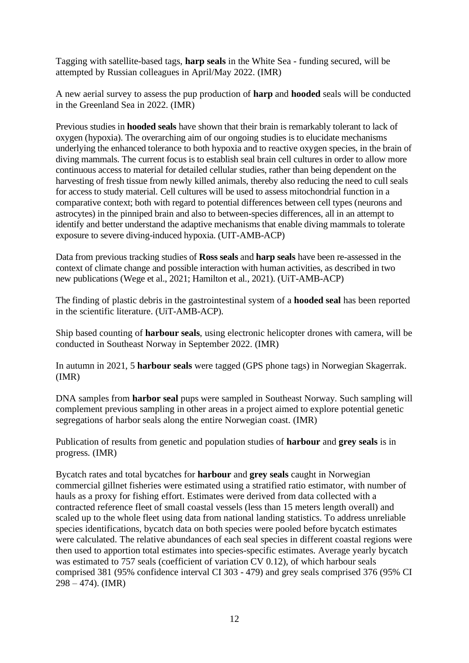Tagging with satellite-based tags, **harp seals** in the White Sea - funding secured, will be attempted by Russian colleagues in April/May 2022. (IMR)

A new aerial survey to assess the pup production of **harp** and **hooded** seals will be conducted in the Greenland Sea in 2022. (IMR)

Previous studies in **hooded seals** have shown that their brain is remarkably tolerant to lack of oxygen (hypoxia). The overarching aim of our ongoing studies is to elucidate mechanisms underlying the enhanced tolerance to both hypoxia and to reactive oxygen species, in the brain of diving mammals. The current focus is to establish seal brain cell cultures in order to allow more continuous access to material for detailed cellular studies, rather than being dependent on the harvesting of fresh tissue from newly killed animals, thereby also reducing the need to cull seals for access to study material. Cell cultures will be used to assess mitochondrial function in a comparative context; both with regard to potential differences between cell types (neurons and astrocytes) in the pinniped brain and also to between-species differences, all in an attempt to identify and better understand the adaptive mechanisms that enable diving mammals to tolerate exposure to severe diving-induced hypoxia. (UIT-AMB-ACP)

Data from previous tracking studies of **Ross seals** and **harp seals** have been re-assessed in the context of climate change and possible interaction with human activities, as described in two new publications (Wege et al., 2021; Hamilton et al., 2021). (UiT-AMB-ACP)

The finding of plastic debris in the gastrointestinal system of a **hooded seal** has been reported in the scientific literature. (UiT-AMB-ACP).

Ship based counting of **harbour seals**, using electronic helicopter drones with camera, will be conducted in Southeast Norway in September 2022. (IMR)

In autumn in 2021, 5 **harbour seals** were tagged (GPS phone tags) in Norwegian Skagerrak. (IMR)

DNA samples from **harbor seal** pups were sampled in Southeast Norway. Such sampling will complement previous sampling in other areas in a project aimed to explore potential genetic segregations of harbor seals along the entire Norwegian coast. (IMR)

Publication of results from genetic and population studies of **harbour** and **grey seals** is in progress. (IMR)

Bycatch rates and total bycatches for **harbour** and **grey seals** caught in Norwegian commercial gillnet fisheries were estimated using a stratified ratio estimator, with number of hauls as a proxy for fishing effort. Estimates were derived from data collected with a contracted reference fleet of small coastal vessels (less than 15 meters length overall) and scaled up to the whole fleet using data from national landing statistics. To address unreliable species identifications, bycatch data on both species were pooled before bycatch estimates were calculated. The relative abundances of each seal species in different coastal regions were then used to apportion total estimates into species-specific estimates. Average yearly bycatch was estimated to 757 seals (coefficient of variation CV 0.12), of which harbour seals comprised 381 (95% confidence interval CI 303 - 479) and grey seals comprised 376 (95% CI  $298 - 474$ ). (IMR)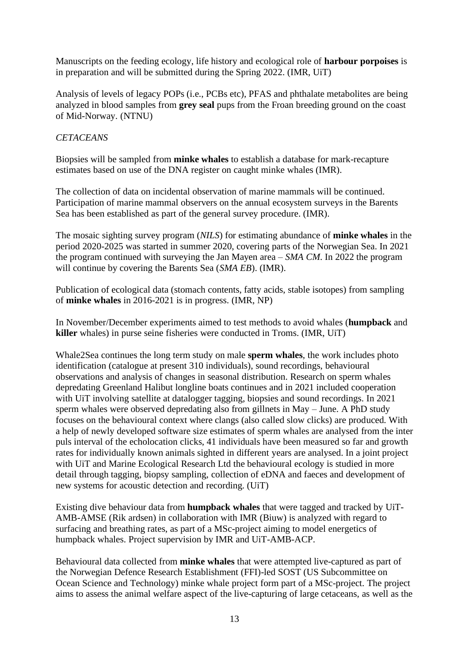Manuscripts on the feeding ecology, life history and ecological role of **harbour porpoises** is in preparation and will be submitted during the Spring 2022. (IMR, UiT)

Analysis of levels of legacy POPs (i.e., PCBs etc), PFAS and phthalate metabolites are being analyzed in blood samples from **grey seal** pups from the Froan breeding ground on the coast of Mid-Norway. (NTNU)

## *CETACEANS*

Biopsies will be sampled from **minke whales** to establish a database for mark-recapture estimates based on use of the DNA register on caught minke whales (IMR).

The collection of data on incidental observation of marine mammals will be continued. Participation of marine mammal observers on the annual ecosystem surveys in the Barents Sea has been established as part of the general survey procedure. (IMR).

The mosaic sighting survey program (*NILS*) for estimating abundance of **minke whales** in the period 2020-2025 was started in summer 2020, covering parts of the Norwegian Sea. In 2021 the program continued with surveying the Jan Mayen area – *SMA CM*. In 2022 the program will continue by covering the Barents Sea (*SMA EB*). (IMR).

Publication of ecological data (stomach contents, fatty acids, stable isotopes) from sampling of **minke whales** in 2016-2021 is in progress. (IMR, NP)

In November/December experiments aimed to test methods to avoid whales (**humpback** and **killer** whales) in purse seine fisheries were conducted in Troms. (IMR, UiT)

Whale2Sea continues the long term study on male **sperm whales**, the work includes photo identification (catalogue at present 310 individuals), sound recordings, behavioural observations and analysis of changes in seasonal distribution. Research on sperm whales depredating Greenland Halibut longline boats continues and in 2021 included cooperation with UiT involving satellite at datalogger tagging, biopsies and sound recordings. In 2021 sperm whales were observed depredating also from gillnets in May – June. A PhD study focuses on the behavioural context where clangs (also called slow clicks) are produced. With a help of newly developed software size estimates of sperm whales are analysed from the inter puls interval of the echolocation clicks, 41 individuals have been measured so far and growth rates for individually known animals sighted in different years are analysed. In a joint project with UiT and Marine Ecological Research Ltd the behavioural ecology is studied in more detail through tagging, biopsy sampling, collection of eDNA and faeces and development of new systems for acoustic detection and recording. (UiT)

Existing dive behaviour data from **humpback whales** that were tagged and tracked by UiT-AMB-AMSE (Rik ardsen) in collaboration with IMR (Biuw) is analyzed with regard to surfacing and breathing rates, as part of a MSc-project aiming to model energetics of humpback whales. Project supervision by IMR and UiT-AMB-ACP.

Behavioural data collected from **minke whales** that were attempted live-captured as part of the Norwegian Defence Research Establishment (FFI)-led SOST (US Subcommittee on Ocean Science and Technology) minke whale project form part of a MSc-project. The project aims to assess the animal welfare aspect of the live-capturing of large cetaceans, as well as the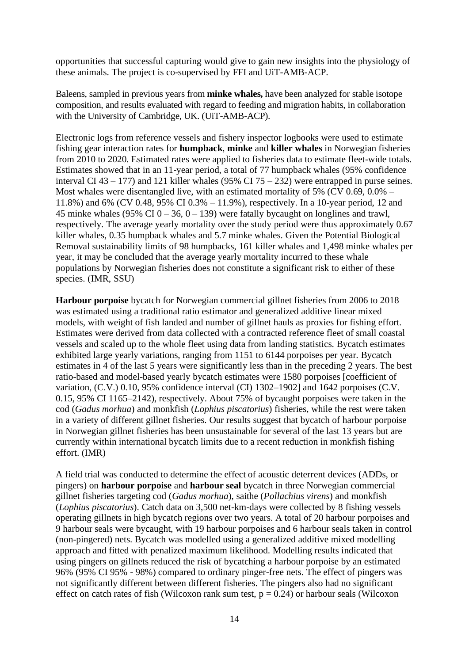opportunities that successful capturing would give to gain new insights into the physiology of these animals. The project is co-supervised by FFI and UiT-AMB-ACP.

Baleens, sampled in previous years from **minke whales,** have been analyzed for stable isotope composition, and results evaluated with regard to feeding and migration habits, in collaboration with the University of Cambridge, UK. (UiT-AMB-ACP).

Electronic logs from reference vessels and fishery inspector logbooks were used to estimate fishing gear interaction rates for **humpback**, **minke** and **killer whales** in Norwegian fisheries from 2010 to 2020. Estimated rates were applied to fisheries data to estimate fleet-wide totals. Estimates showed that in an 11-year period, a total of 77 humpback whales (95% confidence interval CI 43 – 177) and 121 killer whales (95% CI 75 – 232) were entrapped in purse seines. Most whales were disentangled live, with an estimated mortality of 5% (CV 0.69, 0.0% – 11.8%) and 6% (CV 0.48, 95% CI 0.3% – 11.9%), respectively. In a 10-year period, 12 and 45 minke whales (95% CI 0 – 36, 0 – 139) were fatally bycaught on longlines and trawl, respectively. The average yearly mortality over the study period were thus approximately 0.67 killer whales, 0.35 humpback whales and 5.7 minke whales. Given the Potential Biological Removal sustainability limits of 98 humpbacks, 161 killer whales and 1,498 minke whales per year, it may be concluded that the average yearly mortality incurred to these whale populations by Norwegian fisheries does not constitute a significant risk to either of these species. (IMR, SSU)

**Harbour porpoise** bycatch for Norwegian commercial gillnet fisheries from 2006 to 2018 was estimated using a traditional ratio estimator and generalized additive linear mixed models, with weight of fish landed and number of gillnet hauls as proxies for fishing effort. Estimates were derived from data collected with a contracted reference fleet of small coastal vessels and scaled up to the whole fleet using data from landing statistics. Bycatch estimates exhibited large yearly variations, ranging from 1151 to 6144 porpoises per year. Bycatch estimates in 4 of the last 5 years were significantly less than in the preceding 2 years. The best ratio-based and model-based yearly bycatch estimates were 1580 porpoises [coefficient of variation, (C.V.) 0.10, 95% confidence interval (CI) 1302–1902] and 1642 porpoises (C.V. 0.15, 95% CI 1165–2142), respectively. About 75% of bycaught porpoises were taken in the cod (*Gadus morhua*) and monkfish (*Lophius piscatorius*) fisheries, while the rest were taken in a variety of different gillnet fisheries. Our results suggest that bycatch of harbour porpoise in Norwegian gillnet fisheries has been unsustainable for several of the last 13 years but are currently within international bycatch limits due to a recent reduction in monkfish fishing effort. (IMR)

A field trial was conducted to determine the effect of acoustic deterrent devices (ADDs, or pingers) on **harbour porpoise** and **harbour seal** bycatch in three Norwegian commercial gillnet fisheries targeting cod (*Gadus morhua*), saithe (*Pollachius virens*) and monkfish (*Lophius piscatorius*). Catch data on 3,500 net-km-days were collected by 8 fishing vessels operating gillnets in high bycatch regions over two years. A total of 20 harbour porpoises and 9 harbour seals were bycaught, with 19 harbour porpoises and 6 harbour seals taken in control (non-pingered) nets. Bycatch was modelled using a generalized additive mixed modelling approach and fitted with penalized maximum likelihood. Modelling results indicated that using pingers on gillnets reduced the risk of bycatching a harbour porpoise by an estimated 96% (95% CI 95% - 98%) compared to ordinary pinger-free nets. The effect of pingers was not significantly different between different fisheries. The pingers also had no significant effect on catch rates of fish (Wilcoxon rank sum test,  $p = 0.24$ ) or harbour seals (Wilcoxon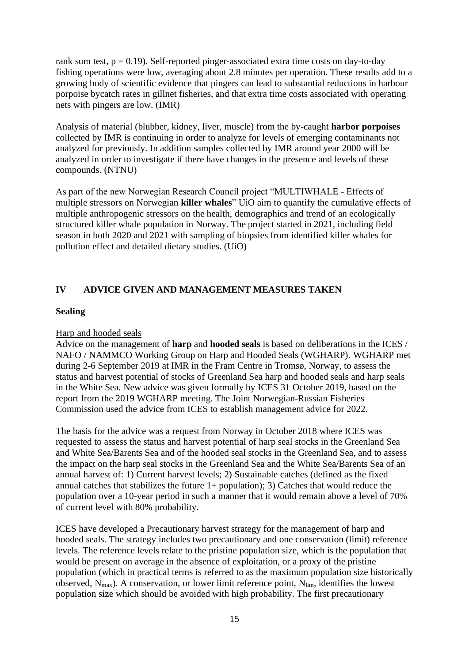rank sum test,  $p = 0.19$ ). Self-reported pinger-associated extra time costs on day-to-day fishing operations were low, averaging about 2.8 minutes per operation. These results add to a growing body of scientific evidence that pingers can lead to substantial reductions in harbour porpoise bycatch rates in gillnet fisheries, and that extra time costs associated with operating nets with pingers are low. (IMR)

Analysis of material (blubber, kidney, liver, muscle) from the by-caught **harbor porpoises** collected by IMR is continuing in order to analyze for levels of emerging contaminants not analyzed for previously. In addition samples collected by IMR around year 2000 will be analyzed in order to investigate if there have changes in the presence and levels of these compounds. (NTNU)

As part of the new Norwegian Research Council project "MULTIWHALE - Effects of multiple stressors on Norwegian **killer whales**" UiO aim to quantify the cumulative effects of multiple anthropogenic stressors on the health, demographics and trend of an ecologically structured killer whale population in Norway. The project started in 2021, including field season in both 2020 and 2021 with sampling of biopsies from identified killer whales for pollution effect and detailed dietary studies. (UiO)

## **IV ADVICE GIVEN AND MANAGEMENT MEASURES TAKEN**

### **Sealing**

## Harp and hooded seals

Advice on the management of **harp** and **hooded seals** is based on deliberations in the ICES / NAFO / NAMMCO Working Group on Harp and Hooded Seals (WGHARP). WGHARP met during 2-6 September 2019 at IMR in the Fram Centre in Tromsø, Norway, to assess the status and harvest potential of stocks of Greenland Sea harp and hooded seals and harp seals in the White Sea. New advice was given formally by ICES 31 October 2019, based on the report from the 2019 WGHARP meeting. The Joint Norwegian-Russian Fisheries Commission used the advice from ICES to establish management advice for 2022.

The basis for the advice was a request from Norway in October 2018 where ICES was requested to assess the status and harvest potential of harp seal stocks in the Greenland Sea and White Sea/Barents Sea and of the hooded seal stocks in the Greenland Sea, and to assess the impact on the harp seal stocks in the Greenland Sea and the White Sea/Barents Sea of an annual harvest of: 1) Current harvest levels; 2) Sustainable catches (defined as the fixed annual catches that stabilizes the future  $1+$  population); 3) Catches that would reduce the population over a 10-year period in such a manner that it would remain above a level of 70% of current level with 80% probability.

ICES have developed a Precautionary harvest strategy for the management of harp and hooded seals. The strategy includes two precautionary and one conservation (limit) reference levels. The reference levels relate to the pristine population size, which is the population that would be present on average in the absence of exploitation, or a proxy of the pristine population (which in practical terms is referred to as the maximum population size historically observed,  $N_{\text{max}}$ ). A conservation, or lower limit reference point,  $N_{\text{lim}}$ , identifies the lowest population size which should be avoided with high probability. The first precautionary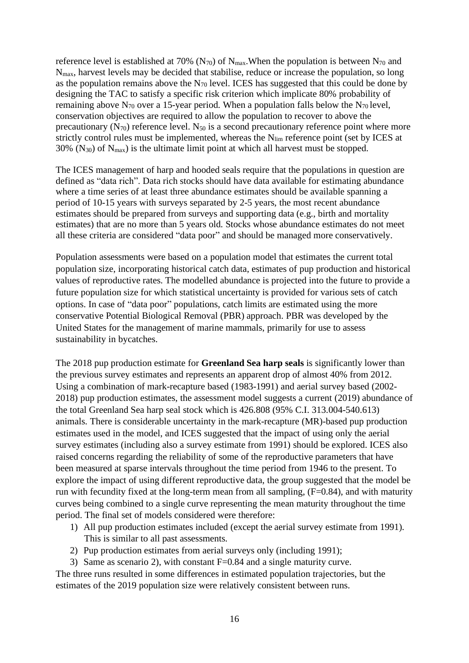reference level is established at 70% ( $N_{70}$ ) of  $N_{\text{max}}$ . When the population is between  $N_{70}$  and Nmax, harvest levels may be decided that stabilise, reduce or increase the population, so long as the population remains above the  $N_{70}$  level. ICES has suggested that this could be done by designing the TAC to satisfy a specific risk criterion which implicate 80% probability of remaining above  $N_{70}$  over a 15-year period. When a population falls below the  $N_{70}$  level, conservation objectives are required to allow the population to recover to above the precautionary  $(N_{70})$  reference level.  $N_{50}$  is a second precautionary reference point where more strictly control rules must be implemented, whereas the  $N_{\text{lim}}$  reference point (set by ICES at  $30\%$  (N<sub>30</sub>) of N<sub>max</sub>) is the ultimate limit point at which all harvest must be stopped.

The ICES management of harp and hooded seals require that the populations in question are defined as "data rich". Data rich stocks should have data available for estimating abundance where a time series of at least three abundance estimates should be available spanning a period of 10-15 years with surveys separated by 2-5 years, the most recent abundance estimates should be prepared from surveys and supporting data (e.g., birth and mortality estimates) that are no more than 5 years old. Stocks whose abundance estimates do not meet all these criteria are considered "data poor" and should be managed more conservatively.

Population assessments were based on a population model that estimates the current total population size, incorporating historical catch data, estimates of pup production and historical values of reproductive rates. The modelled abundance is projected into the future to provide a future population size for which statistical uncertainty is provided for various sets of catch options. In case of "data poor" populations, catch limits are estimated using the more conservative Potential Biological Removal (PBR) approach. PBR was developed by the United States for the management of marine mammals, primarily for use to assess sustainability in bycatches.

The 2018 pup production estimate for **Greenland Sea harp seals** is significantly lower than the previous survey estimates and represents an apparent drop of almost 40% from 2012. Using a combination of mark-recapture based (1983-1991) and aerial survey based (2002- 2018) pup production estimates, the assessment model suggests a current (2019) abundance of the total Greenland Sea harp seal stock which is 426.808 (95% C.I. 313.004-540.613) animals. There is considerable uncertainty in the mark-recapture (MR)-based pup production estimates used in the model, and ICES suggested that the impact of using only the aerial survey estimates (including also a survey estimate from 1991) should be explored. ICES also raised concerns regarding the reliability of some of the reproductive parameters that have been measured at sparse intervals throughout the time period from 1946 to the present. To explore the impact of using different reproductive data, the group suggested that the model be run with fecundity fixed at the long-term mean from all sampling,  $(F=0.84)$ , and with maturity curves being combined to a single curve representing the mean maturity throughout the time period. The final set of models considered were therefore:

- 1) All pup production estimates included (except the aerial survey estimate from 1991). This is similar to all past assessments.
- 2) Pup production estimates from aerial surveys only (including 1991);
- 3) Same as scenario 2), with constant F=0.84 and a single maturity curve.

The three runs resulted in some differences in estimated population trajectories, but the estimates of the 2019 population size were relatively consistent between runs.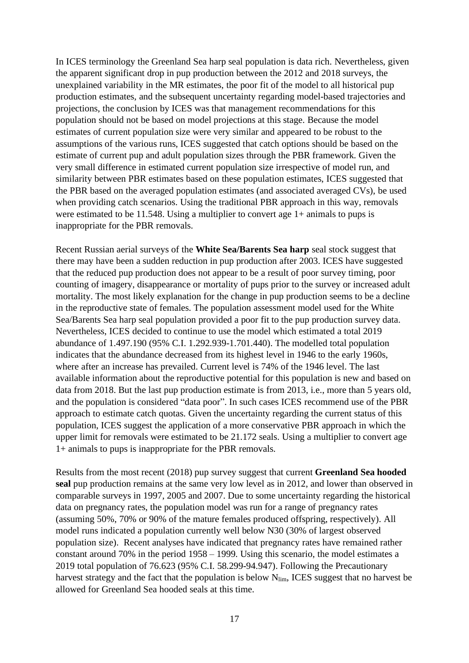In ICES terminology the Greenland Sea harp seal population is data rich. Nevertheless, given the apparent significant drop in pup production between the 2012 and 2018 surveys, the unexplained variability in the MR estimates, the poor fit of the model to all historical pup production estimates, and the subsequent uncertainty regarding model-based trajectories and projections, the conclusion by ICES was that management recommendations for this population should not be based on model projections at this stage. Because the model estimates of current population size were very similar and appeared to be robust to the assumptions of the various runs, ICES suggested that catch options should be based on the estimate of current pup and adult population sizes through the PBR framework. Given the very small difference in estimated current population size irrespective of model run, and similarity between PBR estimates based on these population estimates, ICES suggested that the PBR based on the averaged population estimates (and associated averaged CVs), be used when providing catch scenarios. Using the traditional PBR approach in this way, removals were estimated to be 11.548. Using a multiplier to convert age 1+ animals to pups is inappropriate for the PBR removals.

Recent Russian aerial surveys of the **White Sea/Barents Sea harp** seal stock suggest that there may have been a sudden reduction in pup production after 2003. ICES have suggested that the reduced pup production does not appear to be a result of poor survey timing, poor counting of imagery, disappearance or mortality of pups prior to the survey or increased adult mortality. The most likely explanation for the change in pup production seems to be a decline in the reproductive state of females. The population assessment model used for the White Sea/Barents Sea harp seal population provided a poor fit to the pup production survey data. Nevertheless, ICES decided to continue to use the model which estimated a total 2019 abundance of 1.497.190 (95% C.I. 1.292.939-1.701.440). The modelled total population indicates that the abundance decreased from its highest level in 1946 to the early 1960s, where after an increase has prevailed. Current level is 74% of the 1946 level. The last available information about the reproductive potential for this population is new and based on data from 2018. But the last pup production estimate is from 2013, i.e., more than 5 years old, and the population is considered "data poor". In such cases ICES recommend use of the PBR approach to estimate catch quotas. Given the uncertainty regarding the current status of this population, ICES suggest the application of a more conservative PBR approach in which the upper limit for removals were estimated to be 21.172 seals. Using a multiplier to convert age 1+ animals to pups is inappropriate for the PBR removals.

Results from the most recent (2018) pup survey suggest that current **Greenland Sea hooded seal** pup production remains at the same very low level as in 2012, and lower than observed in comparable surveys in 1997, 2005 and 2007. Due to some uncertainty regarding the historical data on pregnancy rates, the population model was run for a range of pregnancy rates (assuming 50%, 70% or 90% of the mature females produced offspring, respectively). All model runs indicated a population currently well below N30 (30% of largest observed population size). Recent analyses have indicated that pregnancy rates have remained rather constant around 70% in the period 1958 – 1999. Using this scenario, the model estimates a 2019 total population of 76.623 (95% C.I. 58.299-94.947). Following the Precautionary harvest strategy and the fact that the population is below  $N_{\text{lim}}$ , ICES suggest that no harvest be allowed for Greenland Sea hooded seals at this time.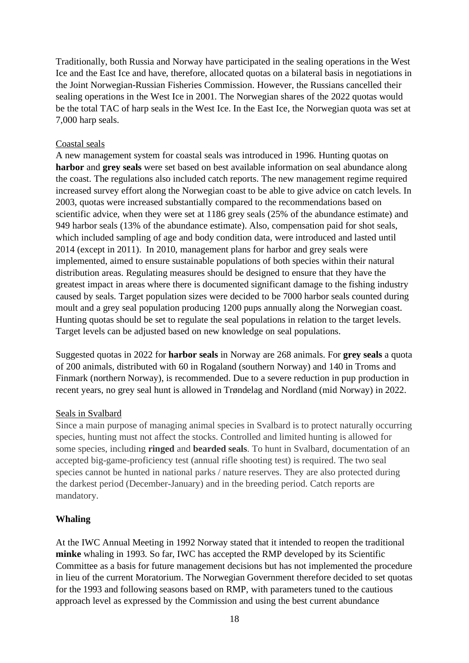Traditionally, both Russia and Norway have participated in the sealing operations in the West Ice and the East Ice and have, therefore, allocated quotas on a bilateral basis in negotiations in the Joint Norwegian-Russian Fisheries Commission. However, the Russians cancelled their sealing operations in the West Ice in 2001. The Norwegian shares of the 2022 quotas would be the total TAC of harp seals in the West Ice. In the East Ice, the Norwegian quota was set at 7,000 harp seals.

### Coastal seals

A new management system for coastal seals was introduced in 1996. Hunting quotas on **harbor** and **grey seals** were set based on best available information on seal abundance along the coast. The regulations also included catch reports. The new management regime required increased survey effort along the Norwegian coast to be able to give advice on catch levels. In 2003, quotas were increased substantially compared to the recommendations based on scientific advice, when they were set at 1186 grey seals (25% of the abundance estimate) and 949 harbor seals (13% of the abundance estimate). Also, compensation paid for shot seals, which included sampling of age and body condition data, were introduced and lasted until 2014 (except in 2011). In 2010, management plans for harbor and grey seals were implemented, aimed to ensure sustainable populations of both species within their natural distribution areas. Regulating measures should be designed to ensure that they have the greatest impact in areas where there is documented significant damage to the fishing industry caused by seals. Target population sizes were decided to be 7000 harbor seals counted during moult and a grey seal population producing 1200 pups annually along the Norwegian coast. Hunting quotas should be set to regulate the seal populations in relation to the target levels. Target levels can be adjusted based on new knowledge on seal populations.

Suggested quotas in 2022 for **harbor seals** in Norway are 268 animals. For **grey seals** a quota of 200 animals, distributed with 60 in Rogaland (southern Norway) and 140 in Troms and Finmark (northern Norway), is recommended. Due to a severe reduction in pup production in recent years, no grey seal hunt is allowed in Trøndelag and Nordland (mid Norway) in 2022.

## Seals in Svalbard

Since a main purpose of managing animal species in Svalbard is to protect naturally occurring species, hunting must not affect the stocks. Controlled and limited hunting is allowed for some species, including **ringed** and **bearded seals**. To hunt in Svalbard, documentation of an accepted big-game-proficiency test (annual rifle shooting test) is required. The two seal species cannot be hunted in national parks / nature reserves. They are also protected during the darkest period (December-January) and in the breeding period. Catch reports are mandatory.

## **Whaling**

At the IWC Annual Meeting in 1992 Norway stated that it intended to reopen the traditional **minke** whaling in 1993. So far, IWC has accepted the RMP developed by its Scientific Committee as a basis for future management decisions but has not implemented the procedure in lieu of the current Moratorium. The Norwegian Government therefore decided to set quotas for the 1993 and following seasons based on RMP, with parameters tuned to the cautious approach level as expressed by the Commission and using the best current abundance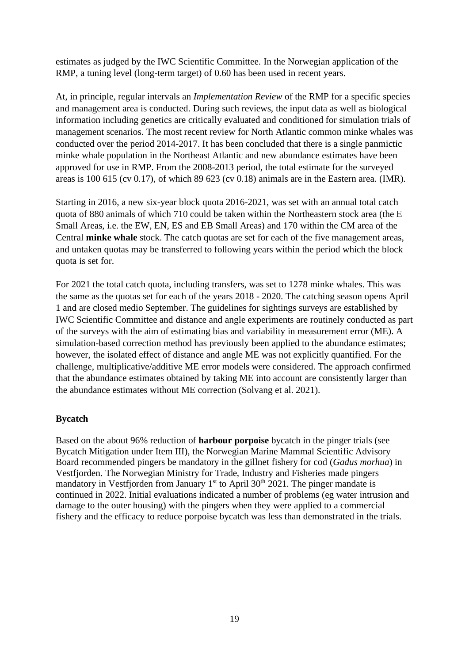estimates as judged by the IWC Scientific Committee. In the Norwegian application of the RMP, a tuning level (long-term target) of 0.60 has been used in recent years.

At, in principle, regular intervals an *Implementation Review* of the RMP for a specific species and management area is conducted. During such reviews, the input data as well as biological information including genetics are critically evaluated and conditioned for simulation trials of management scenarios. The most recent review for North Atlantic common minke whales was conducted over the period 2014-2017. It has been concluded that there is a single panmictic minke whale population in the Northeast Atlantic and new abundance estimates have been approved for use in RMP. From the 2008-2013 period, the total estimate for the surveyed areas is 100 615 (cv 0.17), of which 89 623 (cv 0.18) animals are in the Eastern area. (IMR).

Starting in 2016, a new six-year block quota 2016-2021, was set with an annual total catch quota of 880 animals of which 710 could be taken within the Northeastern stock area (the E Small Areas, i.e. the EW, EN, ES and EB Small Areas) and 170 within the CM area of the Central **minke whale** stock. The catch quotas are set for each of the five management areas, and untaken quotas may be transferred to following years within the period which the block quota is set for.

For 2021 the total catch quota, including transfers, was set to 1278 minke whales. This was the same as the quotas set for each of the years 2018 - 2020. The catching season opens April 1 and are closed medio September. The guidelines for sightings surveys are established by IWC Scientific Committee and distance and angle experiments are routinely conducted as part of the surveys with the aim of estimating bias and variability in measurement error (ME). A simulation-based correction method has previously been applied to the abundance estimates; however, the isolated effect of distance and angle ME was not explicitly quantified. For the challenge, multiplicative/additive ME error models were considered. The approach confirmed that the abundance estimates obtained by taking ME into account are consistently larger than the abundance estimates without ME correction (Solvang et al. 2021).

## **Bycatch**

Based on the about 96% reduction of **harbour porpoise** bycatch in the pinger trials (see Bycatch Mitigation under Item III), the Norwegian Marine Mammal Scientific Advisory Board recommended pingers be mandatory in the gillnet fishery for cod (*Gadus morhua*) in Vestfjorden. The Norwegian Ministry for Trade, Industry and Fisheries made pingers mandatory in Vestfjorden from January  $1<sup>st</sup>$  to April 30<sup>th</sup> 2021. The pinger mandate is continued in 2022. Initial evaluations indicated a number of problems (eg water intrusion and damage to the outer housing) with the pingers when they were applied to a commercial fishery and the efficacy to reduce porpoise bycatch was less than demonstrated in the trials.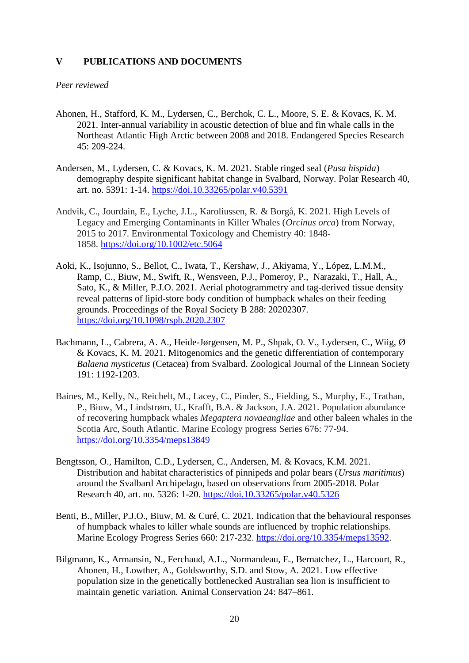#### **V PUBLICATIONS AND DOCUMENTS**

#### *Peer reviewed*

- Ahonen, H., Stafford, K. M., Lydersen, C., Berchok, C. L., Moore, S. E. & Kovacs, K. M. 2021. Inter-annual variability in acoustic detection of blue and fin whale calls in the Northeast Atlantic High Arctic between 2008 and 2018. Endangered Species Research 45: 209-224.
- Andersen, M., Lydersen, C. & Kovacs, K. M. 2021. Stable ringed seal (*Pusa hispida*) demography despite significant habitat change in Svalbard, Norway. Polar Research 40, art. no. 5391: 1-14.<https://doi.10.33265/polar.v40.5391>
- Andvik, C., Jourdain, E., Lyche, J.L., Karoliussen, R. & Borgå, K. 2021. High Levels of Legacy and Emerging Contaminants in Killer Whales (*Orcinus orca*) from Norway, 2015 to 2017. Environmental Toxicology and Chemistry 40: 1848- 1858. <https://doi.org/10.1002/etc.5064>
- Aoki, K., Isojunno, S., Bellot, C., Iwata, T., Kershaw, J., Akiyama, Y., López, L.M.M., Ramp, C., Biuw, M., Swift, R., Wensveen, P.J., Pomeroy, P., Narazaki, T., Hall, A., Sato, K., & Miller, P.J.O. 2021. Aerial photogrammetry and tag-derived tissue density reveal patterns of lipid-store body condition of humpback whales on their feeding grounds. Proceedings of the Royal Society B 288: 20202307. <https://doi.org/10.1098/rspb.2020.2307>
- Bachmann, L., Cabrera, A. A., Heide-Jørgensen, M. P., Shpak, O. V., Lydersen, C., Wiig, Ø & Kovacs, K. M. 2021. Mitogenomics and the genetic differentiation of contemporary *Balaena mysticetus* (Cetacea) from Svalbard. Zoological Journal of the Linnean Society 191: 1192-1203.
- Baines, M., Kelly, N., Reichelt, M., Lacey, C., Pinder, S., Fielding, S., Murphy, E., Trathan, P., Biuw, M., Lindstrøm, U., Krafft, B.A. & Jackson, J.A. 2021. Population abundance of recovering humpback whales *Megaptera novaeangliae* and other baleen whales in the Scotia Arc, South Atlantic. Marine Ecology progress Series 676: 77-94. <https://doi.org/10.3354/meps13849>
- Bengtsson, O., Hamilton, C.D., Lydersen, C., Andersen, M. & Kovacs, K.M. 2021. Distribution and habitat characteristics of pinnipeds and polar bears (*Ursus maritimus*) around the Svalbard Archipelago, based on observations from 2005-2018. Polar Research 40, art. no. 5326: 1-20.<https://doi.10.33265/polar.v40.5326>
- Benti, B., Miller, P.J.O., Biuw, M. & Curé, C. 2021. Indication that the behavioural responses of humpback whales to killer whale sounds are influenced by trophic relationships. Marine Ecology Progress Series 660: 217-232. [https://doi.org/10.3354/meps13592.](https://doi.org/10.3354/meps13592)
- Bilgmann, K., Armansin, N., Ferchaud, A.L., Normandeau, E., Bernatchez, L., Harcourt, R., Ahonen, H., Lowther, A., Goldsworthy, S.D. and Stow, A. 2021. Low effective population size in the genetically bottlenecked Australian sea lion is insufficient to maintain genetic variation. Animal Conservation 24: 847–861.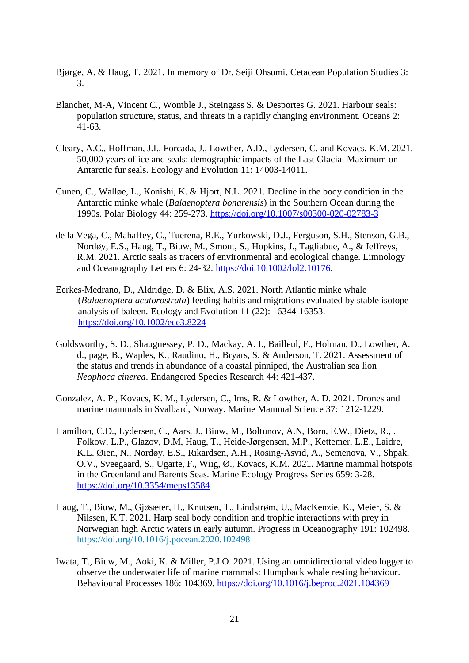- Bjørge, A. & Haug, T. 2021. In memory of Dr. Seiji Ohsumi. Cetacean Population Studies 3: 3.
- Blanchet, M-A**,** Vincent C., Womble J., Steingass S. & Desportes G. 2021. Harbour seals: population structure, status, and threats in a rapidly changing environment. Oceans 2: 41-63.
- Cleary, A.C., Hoffman, J.I., Forcada, J., Lowther, A.D., Lydersen, C. and Kovacs, K.M. 2021. 50,000 years of ice and seals: demographic impacts of the Last Glacial Maximum on Antarctic fur seals. Ecology and Evolution 11: 14003-14011.
- Cunen, C., Walløe, L., Konishi, K. & Hjort, N.L. 2021. Decline in the body condition in the Antarctic minke whale (*Balaenoptera bonarensis*) in the Southern Ocean during the 1990s. Polar Biology 44: 259-273.<https://doi.org/10.1007/s00300-020-02783-3>
- de la Vega, C., Mahaffey, C., Tuerena, R.E., Yurkowski, D.J., Ferguson, S.H., Stenson, G.B., Nordøy, E.S., Haug, T., Biuw, M., Smout, S., Hopkins, J., Tagliabue, A., & Jeffreys, R.M. 2021. Arctic seals as tracers of environmental and ecological change. Limnology and Oceanography Letters 6: 24-32. [https://doi.10.1002/lol2.10176.](https://doi.10.1002/lol2.10176)
- Eerkes-Medrano, D., Aldridge, D. & Blix, A.S. 2021. North Atlantic minke whale (*Balaenoptera acutorostrata*) feeding habits and migrations evaluated by stable isotope analysis of baleen. Ecology and Evolution 11 (22): 16344-16353. <https://doi.org/10.1002/ece3.8224>
- Goldsworthy, S. D., Shaugnessey, P. D., Mackay, A. I., Bailleul, F., Holman, D., Lowther, A. d., page, B., Waples, K., Raudino, H., Bryars, S. & Anderson, T. 2021. Assessment of the status and trends in abundance of a coastal pinniped, the Australian sea lion *Neophoca cinerea*. Endangered Species Research 44: 421-437.
- Gonzalez, A. P., Kovacs, K. M., Lydersen, C., Ims, R. & Lowther, A. D. 2021. Drones and marine mammals in Svalbard, Norway. Marine Mammal Science 37: 1212-1229.
- Hamilton, C.D., Lydersen, C., Aars, J., Biuw, M., Boltunov, A.N, Born, E.W., Dietz, R., . Folkow, L.P., Glazov, D.M, Haug, T., Heide-Jørgensen, M.P., Kettemer, L.E., Laidre, K.L. Øien, N., Nordøy, E.S., Rikardsen, A.H., Rosing-Asvid, A., Semenova, V., Shpak, O.V., Sveegaard, S., Ugarte, F., Wiig, Ø., Kovacs, K.M. 2021. Marine mammal hotspots in the Greenland and Barents Seas. Marine Ecology Progress Series 659: 3-28. <https://doi.org/10.3354/meps13584>
- Haug, T., Biuw, M., Gjøsæter, H., Knutsen, T., Lindstrøm, U., MacKenzie, K., Meier, S. & Nilssen, K.T. 2021. Harp seal body condition and trophic interactions with prey in Norwegian high Arctic waters in early autumn. Progress in Oceanography 191: 102498. <https://doi.org/10.1016/j.pocean.2020.102498>
- Iwata, T., Biuw, M., Aoki, K. & Miller, P.J.O. 2021. Using an omnidirectional video logger to observe the underwater life of marine mammals: Humpback whale resting behaviour. Behavioural Processes 186: 104369.<https://doi.org/10.1016/j.beproc.2021.104369>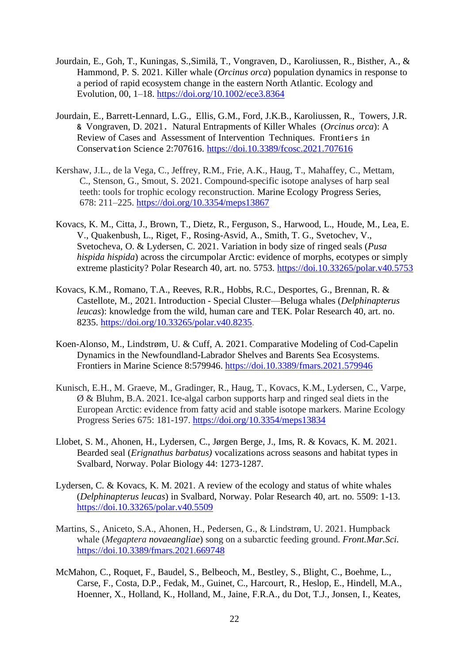- Jourdain, E., Goh, T., Kuningas, S.,Similä, T., Vongraven, D., Karoliussen, R., Bisther, A., & Hammond, P. S. 2021. Killer whale (*Orcinus orca*) population dynamics in response to a period of rapid ecosystem change in the eastern North Atlantic. Ecology and Evolution, 00, 1–18. <https://doi.org/10.1002/ece3.8364>
- Jourdain, E., Barrett-Lennard, L.G., Ellis, G.M., Ford, J.K.B., Karoliussen, R., Towers, J.R. & Vongraven, D. 2021. Natural Entrapments of Killer Whales (*Orcinus orca*): A Review of Cases and Assessment of Intervention Techniques. Frontiers in Conservation Science 2:707616. <https://doi.10.3389/fcosc.2021.707616>
- Kershaw, J.L., de la Vega, C., Jeffrey, R.M., Frie, A.K., Haug, T., Mahaffey, C., Mettam, C., Stenson, G., Smout, S. 2021. Compound-specific isotope analyses of harp seal teeth: tools for trophic ecology reconstruction. Marine Ecology Progress Series, 678: 211–225.<https://doi.org/10.3354/meps13867>
- Kovacs, K. M., Citta, J., Brown, T., Dietz, R., Ferguson, S., Harwood, L., Houde, M., Lea, E. V., Quakenbush, L., Riget, F., Rosing-Asvid, A., Smith, T. G., Svetochev, V., Svetocheva, O. & Lydersen, C. 2021. Variation in body size of ringed seals (*Pusa hispida hispida*) across the circumpolar Arctic: evidence of morphs, ecotypes or simply extreme plasticity? Polar Research 40, art. no. 5753.<https://doi.10.33265/polar.v40.5753>
- Kovacs, K.M., Romano, T.A., Reeves, R.R., Hobbs, R.C., Desportes, G., Brennan, R. & Castellote, M., 2021. Introduction - Special Cluster—Beluga whales (*Delphinapterus leucas*): knowledge from the wild, human care and TEK. Polar Research 40, art. no. 8235. [https://doi.org/10.33265/polar.v40.8235.](https://doi.org/10.33265/polar.v40.8235)
- Koen-Alonso, M., Lindstrøm, U. & Cuff, A. 2021. Comparative Modeling of Cod-Capelin Dynamics in the Newfoundland-Labrador Shelves and Barents Sea Ecosystems. Frontiers in Marine Science 8:579946. <https://doi.10.3389/fmars.2021.579946>
- Kunisch, E.H., M. Graeve, M., Gradinger, R., Haug, T., Kovacs, K.M., Lydersen, C., Varpe, Ø & Bluhm, B.A. 2021. Ice-algal carbon supports harp and ringed seal diets in the European Arctic: evidence from fatty acid and stable isotope markers. Marine Ecology Progress Series 675: 181-197.<https://doi.org/10.3354/meps13834>
- Llobet, S. M., Ahonen, H., Lydersen, C., Jørgen Berge, J., Ims, R. & Kovacs, K. M. 2021. Bearded seal (*Erignathus barbatus)* vocalizations across seasons and habitat types in Svalbard, Norway. Polar Biology 44: 1273-1287.
- Lydersen, C. & Kovacs, K. M. 2021. A review of the ecology and status of white whales (*Delphinapterus leucas*) in Svalbard, Norway. Polar Research 40, art. no. 5509: 1-13. <https://doi.10.33265/polar.v40.5509>
- Martins, S., Aniceto, S.A., Ahonen, H., Pedersen, G., & Lindstrøm, U. 2021. Humpback whale (*Megaptera novaeangliae*) song on a subarctic feeding ground. *Front.Mar.Sci.* <https://doi.10.3389/fmars.2021.669748>
- McMahon*,* C., Roquet, F., Baudel, S., Belbeoch, M., Bestley, S., Blight, C., Boehme, L., Carse, F., Costa, D.P., Fedak, M., Guinet, C., Harcourt, R., Heslop, E., Hindell, M.A., Hoenner, X., Holland, K., Holland, M., Jaine, F.R.A., du Dot, T.J., Jonsen, I., Keates,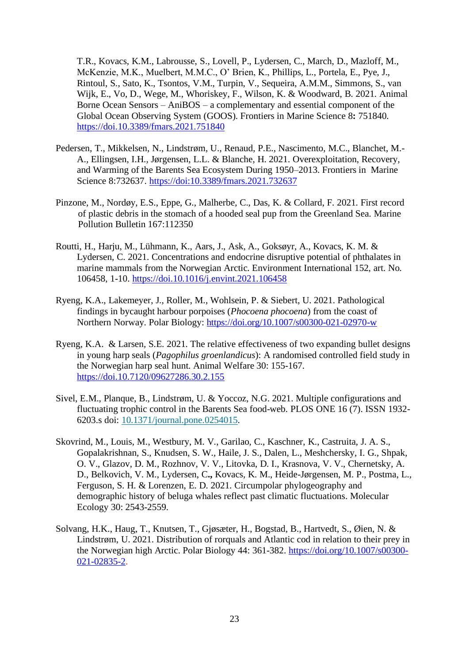T.R., Kovacs, K.M., Labrousse, S., Lovell, P., Lydersen, C., March, D., Mazloff, M., McKenzie, M.K., Muelbert, M.M.C., O' Brien, K., Phillips, L., Portela, E., Pye, J., Rintoul, S., Sato, K., Tsontos, V.M., Turpin, V., Sequeira, A.M.M., Simmons, S., van Wijk, E., Vo, D., Wege, M., Whoriskey, F., Wilson, K. & Woodward, B. 2021. Animal Borne Ocean Sensors – AniBOS – a complementary and essential component of the Global Ocean Observing System (GOOS). Frontiers in Marine Science 8**:** 751840. <https://doi.10.3389/fmars.2021.751840>

- Pedersen, T., Mikkelsen, N., Lindstrøm, U., Renaud, P.E., Nascimento, M.C., Blanchet, M.- A., Ellingsen, I.H., Jørgensen, L.L. & Blanche, H. 2021. Overexploitation, Recovery, and Warming of the Barents Sea Ecosystem During 1950–2013. Frontiers in Marine Science 8:732637.<https://doi:10.3389/fmars.2021.732637>
- Pinzone, M., Nordøy, E.S., Eppe, G., Malherbe, C., Das, K. & Collard, F. 2021. First record of plastic debris in the stomach of a hooded seal pup from the Greenland Sea. Marine Pollution Bulletin 167:112350
- Routti, H., Harju, M., Lühmann, K., Aars, J., Ask, A., Goksøyr, A., Kovacs, K. M. & Lydersen, C. 2021. Concentrations and endocrine disruptive potential of phthalates in marine mammals from the Norwegian Arctic. Environment International 152, art. No. 106458, 1-10.<https://doi.10.1016/j.envint.2021.106458>
- Ryeng, K.A., Lakemeyer, J., Roller, M., Wohlsein, P. & Siebert, U. 2021. Pathological findings in bycaught harbour porpoises (*Phocoena phocoena*) from the coast of Northern Norway. Polar Biology:<https://doi.org/10.1007/s00300-021-02970-w>
- Ryeng, K.A. & Larsen, S.E. 2021. The relative effectiveness of two expanding bullet designs in young harp seals (*Pagophilus groenlandicus*): A randomised controlled field study in the Norwegian harp seal hunt. Animal Welfare 30: 155-167. <https://doi.10.7120/09627286.30.2.155>
- Sivel, E.M., Planque, B., Lindstrøm, U. & Yoccoz, N.G. 2021. Multiple configurations and fluctuating trophic control in the Barents Sea food-web. PLOS ONE 16 (7). ISSN 1932- 6203.s doi: [10.1371/journal.pone.0254015.](http://dx.doi.org/10.1371/journal.pone.0254015)
- Skovrind, M., Louis, M., Westbury, M. V., Garilao, C., Kaschner, K., Castruita, J. A. S., Gopalakrishnan, S., Knudsen, S. W., Haile, J. S., Dalen, L., Meshchersky, I. G., Shpak, O. V., Glazov, D. M., Rozhnov, V. V., Litovka, D. I., Krasnova, V. V., Chernetsky, A. D., Belkovich, V. M., Lydersen, C**.,** Kovacs, K. M., Heide-Jørgensen, M. P., Postma, L., Ferguson, S. H. & Lorenzen, E. D. 2021. Circumpolar phylogeography and demographic history of beluga whales reflect past climatic fluctuations. Molecular Ecology 30: 2543-2559.
- Solvang, H.K., Haug, T., Knutsen, T., Gjøsæter, H., Bogstad, B., Hartvedt, S., Øien, N. & Lindstrøm, U. 2021. Distribution of rorquals and Atlantic cod in relation to their prey in the Norwegian high Arctic. Polar Biology 44: 361-382. [https://doi.org/10.1007/s00300-](https://doi.org/10.1007/s00300-021-02835-2) [021-02835-2.](https://doi.org/10.1007/s00300-021-02835-2)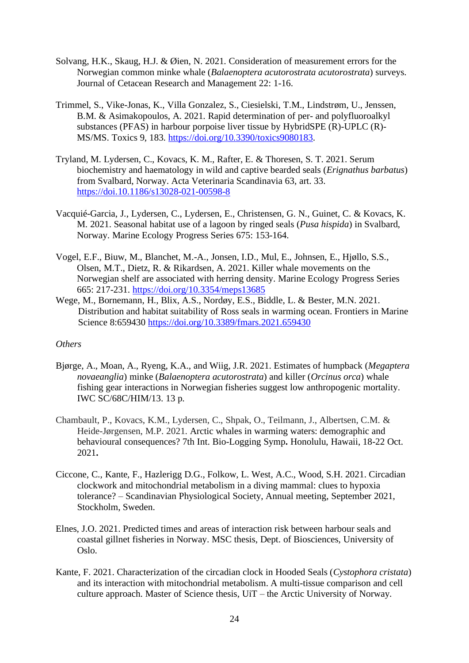- Solvang, H.K., Skaug, H.J. & Øien, N. 2021. Consideration of measurement errors for the Norwegian common minke whale (*Balaenoptera acutorostrata acutorostrata*) surveys. Journal of Cetacean Research and Management 22: 1-16.
- Trimmel, S., Vike-Jonas, K., Villa Gonzalez, S., Ciesielski, T.M., Lindstrøm, U., Jenssen, B.M. & Asimakopoulos, A. 2021. Rapid determination of per- and polyfluoroalkyl substances (PFAS) in harbour porpoise liver tissue by HybridSPE (R)-UPLC (R)- MS/MS. Toxics 9, 183. [https://doi.org/10.3390/toxics9080183.](https://doi.org/10.3390/toxics9080183)
- Tryland, M. Lydersen, C., Kovacs, K. M., Rafter, E. & Thoresen, S. T. 2021. Serum biochemistry and haematology in wild and captive bearded seals (*Erignathus barbatus*) from Svalbard, Norway. Acta Veterinaria Scandinavia 63, art. 33. <https://doi.10.1186/s13028-021-00598-8>
- Vacquié-Garcia, J., Lydersen, C., Lydersen, E., Christensen, G. N., Guinet, C. & Kovacs, K. M. 2021. Seasonal habitat use of a lagoon by ringed seals (*Pusa hispida*) in Svalbard, Norway. Marine Ecology Progress Series 675: 153-164.
- Vogel, E.F., Biuw, M., Blanchet, M.-A., Jonsen, I.D., Mul, E., Johnsen, E., Hjøllo, S.S., Olsen, M.T., Dietz, R. & Rikardsen, A. 2021. Killer whale movements on the Norwegian shelf are associated with herring density. Marine Ecology Progress Series 665: 217-231.<https://doi.org/10.3354/meps13685>
- Wege, M., Bornemann, H., Blix, A.S., Nordøy, E.S., Biddle, L. & Bester, M.N. 2021. Distribution and habitat suitability of Ross seals in warming ocean. Frontiers in Marine Science 8:659430<https://doi.org/10.3389/fmars.2021.659430>

### *Others*

- Bjørge, A., Moan, A., Ryeng, K.A., and Wiig, J.R. 2021. Estimates of humpback (*Megaptera novaeanglia*) minke (*Balaenoptera acutorostrata*) and killer (*Orcinus orca*) whale fishing gear interactions in Norwegian fisheries suggest low anthropogenic mortality. IWC SC/68C/HIM/13. 13 p.
- Chambault, P., Kovacs, K.M., Lydersen, C., Shpak, O., Teilmann, J., Albertsen, C.M. & Heide-Jørgensen, M.P. 2021. Arctic whales in warming waters: demographic and behavioural consequences? 7th Int. Bio-Logging Symp**.** Honolulu, Hawaii, 18-22 Oct. 2021**.**
- Ciccone, C., Kante, F., Hazlerigg D.G., Folkow, L. West, A.C., Wood, S.H. 2021. Circadian clockwork and mitochondrial metabolism in a diving mammal: clues to hypoxia tolerance? – Scandinavian Physiological Society, Annual meeting, September 2021, Stockholm, Sweden.
- Elnes, J.O. 2021. Predicted times and areas of interaction risk between harbour seals and coastal gillnet fisheries in Norway. MSC thesis, Dept. of Biosciences, University of Oslo.
- Kante, F. 2021. Characterization of the circadian clock in Hooded Seals (*Cystophora cristata*) and its interaction with mitochondrial metabolism. A multi-tissue comparison and cell culture approach. Master of Science thesis, UiT – the Arctic University of Norway.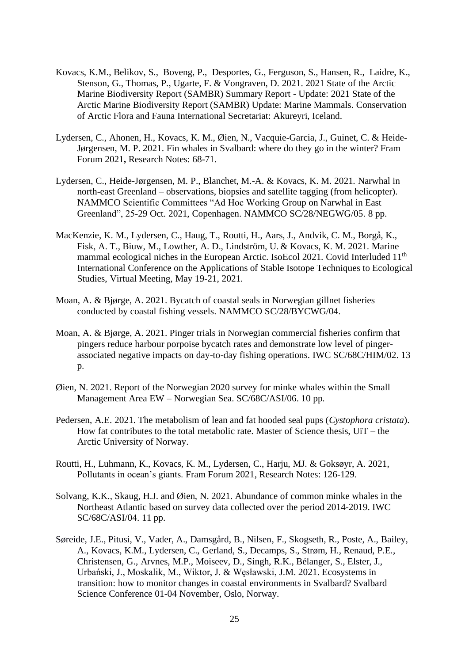- Kovacs, K.M., Belikov, S., Boveng, P., Desportes, G., Ferguson, S., Hansen, R., Laidre, K., Stenson, G., Thomas, P., Ugarte, F. & Vongraven, D. 2021. 2021 State of the Arctic Marine Biodiversity Report (SAMBR) Summary Report - Update: 2021 State of the Arctic Marine Biodiversity Report (SAMBR) Update: Marine Mammals. Conservation of Arctic Flora and Fauna International Secretariat: Akureyri, Iceland.
- Lydersen, C., Ahonen, H., Kovacs, K. M., Øien, N., Vacquie-Garcia, J., Guinet, C. & Heide-Jørgensen, M. P. 2021. Fin whales in Svalbard: where do they go in the winter? Fram Forum 2021**,** Research Notes: 68-71.
- Lydersen, C., Heide-Jørgensen, M. P., Blanchet, M.-A. & Kovacs, K. M. 2021. Narwhal in north-east Greenland – observations, biopsies and satellite tagging (from helicopter). NAMMCO Scientific Committees "Ad Hoc Working Group on Narwhal in East Greenland", 25-29 Oct. 2021, Copenhagen. NAMMCO SC/28/NEGWG/05. 8 pp.
- MacKenzie, K. M., Lydersen, C., Haug, T., Routti, H., Aars, J., Andvik, C. M., Borgå, K., Fisk, A. T., Biuw, M., Lowther, A. D., Lindström, U. & Kovacs, K. M. 2021. Marine mammal ecological niches in the European Arctic. IsoEcol 2021. Covid Interluded 11<sup>th</sup> International Conference on the Applications of Stable Isotope Techniques to Ecological Studies, Virtual Meeting, May 19-21, 2021.
- Moan, A. & Bjørge, A. 2021. Bycatch of coastal seals in Norwegian gillnet fisheries conducted by coastal fishing vessels. NAMMCO SC/28/BYCWG/04.
- Moan, A. & Bjørge, A. 2021. Pinger trials in Norwegian commercial fisheries confirm that pingers reduce harbour porpoise bycatch rates and demonstrate low level of pingerassociated negative impacts on day-to-day fishing operations. IWC SC/68C/HIM/02. 13 p.
- Øien, N. 2021. Report of the Norwegian 2020 survey for minke whales within the Small Management Area EW – Norwegian Sea. SC/68C/ASI/06. 10 pp.
- Pedersen, A.E. 2021. The metabolism of lean and fat hooded seal pups (*Cystophora cristata*). How fat contributes to the total metabolic rate. Master of Science thesis, UiT – the Arctic University of Norway.
- Routti, H., Luhmann, K., Kovacs, K. M., Lydersen, C., Harju, MJ. & Goksøyr, A. 2021, Pollutants in ocean's giants. Fram Forum 2021, Research Notes: 126-129.
- Solvang, K.K., Skaug, H.J. and Øien, N. 2021. Abundance of common minke whales in the Northeast Atlantic based on survey data collected over the period 2014-2019. IWC SC/68C/ASI/04. 11 pp.
- Søreide, J.E., Pitusi, V., Vader, A., Damsgård, B., Nilsen, F., Skogseth, R., Poste, A., Bailey, A., Kovacs, K.M., Lydersen, C., Gerland, S., Decamps, S., Strøm, H., Renaud, P.E., Christensen, G., Arvnes, M.P., Moiseev, D., Singh, R.K., Bélanger, S., Elster, J., Urbański, J., Moskalik, M., Wiktor, J. & Węsławski, J.M. 2021. Ecosystems in transition: how to monitor changes in coastal environments in Svalbard? Svalbard Science Conference 01-04 November, Oslo, Norway.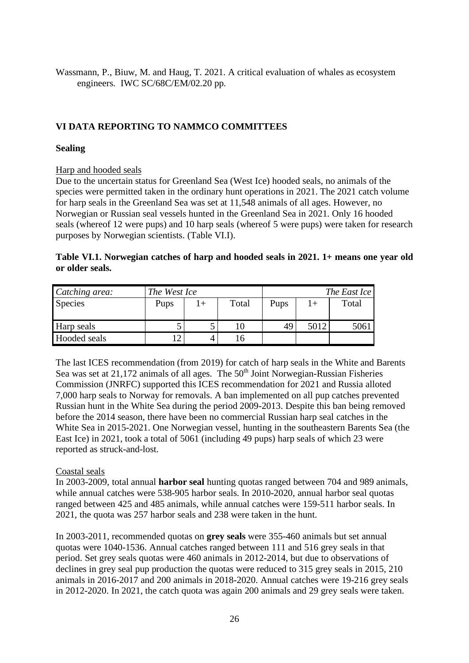Wassmann, P., Biuw, M. and Haug, T. 2021. A critical evaluation of whales as ecosystem engineers. IWC SC/68C/EM/02.20 pp.

# **VI DATA REPORTING TO NAMMCO COMMITTEES**

### **Sealing**

### Harp and hooded seals

Due to the uncertain status for Greenland Sea (West Ice) hooded seals, no animals of the species were permitted taken in the ordinary hunt operations in 2021. The 2021 catch volume for harp seals in the Greenland Sea was set at 11,548 animals of all ages. However, no Norwegian or Russian seal vessels hunted in the Greenland Sea in 2021. Only 16 hooded seals (whereof 12 were pups) and 10 harp seals (whereof 5 were pups) were taken for research purposes by Norwegian scientists. (Table VI.I).

### **Table VI.1. Norwegian catches of harp and hooded seals in 2021. 1+ means one year old or older seals.**

| Catching area: | The West Ice |              |       | The East Ice |      |       |  |
|----------------|--------------|--------------|-------|--------------|------|-------|--|
| Species        | Pups         | $_{\rm l}$ + | Total | Pups         | $+$  | Total |  |
| Harp seals     |              |              |       | 49           | 5012 | 5061  |  |
| Hooded seals   |              |              |       |              |      |       |  |

The last ICES recommendation (from 2019) for catch of harp seals in the White and Barents Sea was set at  $21,172$  animals of all ages. The  $50<sup>th</sup>$  Joint Norwegian-Russian Fisheries Commission (JNRFC) supported this ICES recommendation for 2021 and Russia alloted 7,000 harp seals to Norway for removals. A ban implemented on all pup catches prevented Russian hunt in the White Sea during the period 2009-2013. Despite this ban being removed before the 2014 season, there have been no commercial Russian harp seal catches in the White Sea in 2015-2021. One Norwegian vessel, hunting in the southeastern Barents Sea (the East Ice) in 2021, took a total of 5061 (including 49 pups) harp seals of which 23 were reported as struck-and-lost.

### Coastal seals

In 2003-2009, total annual **harbor seal** hunting quotas ranged between 704 and 989 animals, while annual catches were 538-905 harbor seals. In 2010-2020, annual harbor seal quotas ranged between 425 and 485 animals, while annual catches were 159-511 harbor seals. In 2021, the quota was 257 harbor seals and 238 were taken in the hunt.

In 2003-2011, recommended quotas on **grey seals** were 355-460 animals but set annual quotas were 1040-1536. Annual catches ranged between 111 and 516 grey seals in that period. Set grey seals quotas were 460 animals in 2012-2014, but due to observations of declines in grey seal pup production the quotas were reduced to 315 grey seals in 2015, 210 animals in 2016-2017 and 200 animals in 2018-2020. Annual catches were 19-216 grey seals in 2012-2020. In 2021, the catch quota was again 200 animals and 29 grey seals were taken.